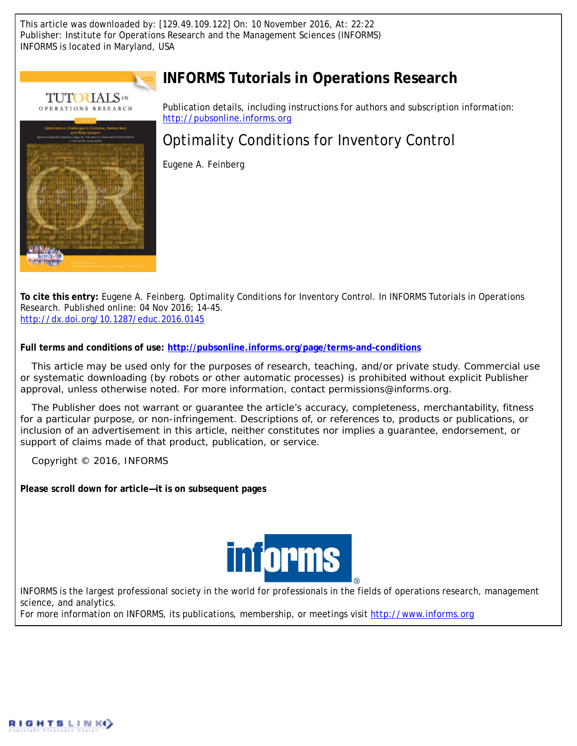This article was downloaded by: [129.49.109.122] On: 10 November 2016, At: 22:22 Publisher: Institute for Operations Research and the Management Sciences (INFORMS) INFORMS is located in Maryland, USA



# **INFORMS Tutorials in Operations Research**

Publication details, including instructions for authors and subscription information: <http://pubsonline.informs.org>

# Optimality Conditions for Inventory Control

Eugene A. Feinberg

**To cite this entry:** Eugene A. Feinberg. Optimality Conditions for Inventory Control. *In* INFORMS Tutorials in Operations Research. Published online: 04 Nov 2016; 14-45. <http://dx.doi.org/10.1287/educ.2016.0145>

**Full terms and conditions of use: <http://pubsonline.informs.org/page/terms-and-conditions>**

This article may be used only for the purposes of research, teaching, and/or private study. Commercial use or systematic downloading (by robots or other automatic processes) is prohibited without explicit Publisher approval, unless otherwise noted. For more information, contact permissions@informs.org.

The Publisher does not warrant or guarantee the article's accuracy, completeness, merchantability, fitness for a particular purpose, or non-infringement. Descriptions of, or references to, products or publications, or inclusion of an advertisement in this article, neither constitutes nor implies a guarantee, endorsement, or support of claims made of that product, publication, or service.

Copyright © 2016, INFORMS

**Please scroll down for article—it is on subsequent pages**



INFORMS is the largest professional society in the world for professionals in the fields of operations research, management science, and analytics.

For more information on INFORMS, its publications, membership, or meetings visit <http://www.informs.org>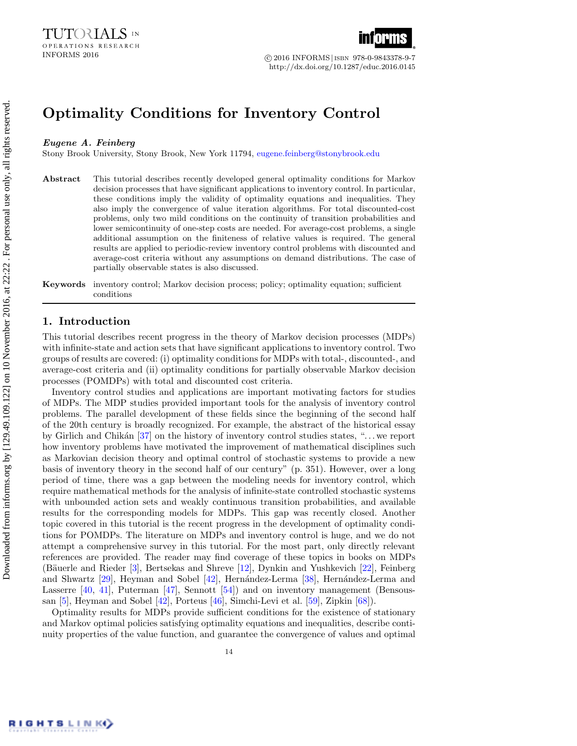

INFORMS 2016 c 2016 INFORMS |isbn 978-0-9843378-9-7 http://dx.doi.org/10.1287/educ.2016.0145

# Optimality Conditions for Inventory Control

#### Eugene A. Feinberg

Stony Brook University, Stony Brook, New York 11794, [eugene.feinberg@stonybrook.edu](mailto:eugene.feinberg@stonybrook.edu)

Abstract This tutorial describes recently developed general optimality conditions for Markov decision processes that have significant applications to inventory control. In particular, these conditions imply the validity of optimality equations and inequalities. They also imply the convergence of value iteration algorithms. For total discounted-cost problems, only two mild conditions on the continuity of transition probabilities and lower semicontinuity of one-step costs are needed. For average-cost problems, a single additional assumption on the finiteness of relative values is required. The general results are applied to periodic-review inventory control problems with discounted and average-cost criteria without any assumptions on demand distributions. The case of partially observable states is also discussed.

Keywords inventory control; Markov decision process; policy; optimality equation; sufficient conditions

# 1. Introduction

This tutorial describes recent progress in the theory of Markov decision processes (MDPs) with infinite-state and action sets that have significant applications to inventory control. Two groups of results are covered: (i) optimality conditions for MDPs with total-, discounted-, and average-cost criteria and (ii) optimality conditions for partially observable Markov decision processes (POMDPs) with total and discounted cost criteria.

Inventory control studies and applications are important motivating factors for studies of MDPs. The MDP studies provided important tools for the analysis of inventory control problems. The parallel development of these fields since the beginning of the second half of the 20th century is broadly recognized. For example, the abstract of the historical essay by Girlich and Chikán  $[37]$  on the history of inventory control studies states, "... we report how inventory problems have motivated the improvement of mathematical disciplines such as Markovian decision theory and optimal control of stochastic systems to provide a new basis of inventory theory in the second half of our century" (p. 351). However, over a long period of time, there was a gap between the modeling needs for inventory control, which require mathematical methods for the analysis of infinite-state controlled stochastic systems with unbounded action sets and weakly continuous transition probabilities, and available results for the corresponding models for MDPs. This gap was recently closed. Another topic covered in this tutorial is the recent progress in the development of optimality conditions for POMDPs. The literature on MDPs and inventory control is huge, and we do not attempt a comprehensive survey in this tutorial. For the most part, only directly relevant references are provided. The reader may find coverage of these topics in books on MDPs (Bäuerle and Rieder [\[3\]](#page-29-0), Bertsekas and Shreve [\[12\]](#page-29-1), Dynkin and Yushkevich [\[22\]](#page-30-1), Feinberg and Shwartz  $[29]$ , Heyman and Sobel  $[42]$ , Hernández-Lerma  $[38]$ , Hernández-Lerma and Lasserre [\[40,](#page-30-5) [41\]](#page-30-6), Puterman [\[47\]](#page-31-0), Sennott [\[54\]](#page-31-1)) and on inventory management (Bensoussan [\[5\]](#page-29-2), Heyman and Sobel [\[42\]](#page-30-3), Porteus [\[46\]](#page-31-2), Simchi-Levi et al. [\[59\]](#page-31-3), Zipkin [\[68\]](#page-31-4)).

Optimality results for MDPs provide sufficient conditions for the existence of stationary and Markov optimal policies satisfying optimality equations and inequalities, describe continuity properties of the value function, and guarantee the convergence of values and optimal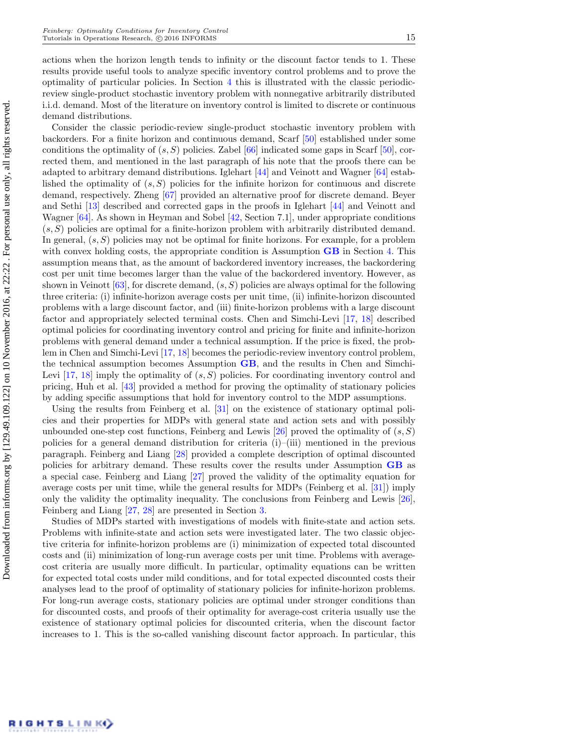actions when the horizon length tends to infinity or the discount factor tends to 1. These results provide useful tools to analyze specific inventory control problems and to prove the optimality of particular policies. In Section [4](#page-9-0) this is illustrated with the classic periodicreview single-product stochastic inventory problem with nonnegative arbitrarily distributed i.i.d. demand. Most of the literature on inventory control is limited to discrete or continuous demand distributions.

Consider the classic periodic-review single-product stochastic inventory problem with backorders. For a finite horizon and continuous demand, Scarf [\[50\]](#page-31-5) established under some conditions the optimality of  $(s, S)$  policies. Zabel  $[66]$  indicated some gaps in Scarf  $[50]$ , corrected them, and mentioned in the last paragraph of his note that the proofs there can be adapted to arbitrary demand distributions. Iglehart [\[44\]](#page-31-7) and Veinott and Wagner [\[64\]](#page-31-8) established the optimality of  $(s, S)$  policies for the infinite horizon for continuous and discrete demand, respectively. Zheng [\[67\]](#page-31-9) provided an alternative proof for discrete demand. Beyer and Sethi [\[13\]](#page-29-3) described and corrected gaps in the proofs in Iglehart [\[44\]](#page-31-7) and Veinott and Wagner [\[64\]](#page-31-8). As shown in Heyman and Sobel [\[42,](#page-30-3) Section 7.1], under appropriate conditions  $(s, S)$  policies are optimal for a finite-horizon problem with arbitrarily distributed demand. In general,  $(s, S)$  policies may not be optimal for finite horizons. For example, for a problem with convex holding costs, the appropriate condition is Assumption  $\overline{GB}$  $\overline{GB}$  $\overline{GB}$  in Section [4.](#page-9-0) This assumption means that, as the amount of backordered inventory increases, the backordering cost per unit time becomes larger than the value of the backordered inventory. However, as shown in Veinott [\[63\]](#page-31-10), for discrete demand,  $(s, S)$  policies are always optimal for the following three criteria: (i) infinite-horizon average costs per unit time, (ii) infinite-horizon discounted problems with a large discount factor, and (iii) finite-horizon problems with a large discount factor and appropriately selected terminal costs. Chen and Simchi-Levi [\[17,](#page-29-4) [18\]](#page-29-5) described optimal policies for coordinating inventory control and pricing for finite and infinite-horizon problems with general demand under a technical assumption. If the price is fixed, the problem in Chen and Simchi-Levi [\[17,](#page-29-4) [18\]](#page-29-5) becomes the periodic-review inventory control problem, the technical assumption becomes Assumption [GB](#page-11-0), and the results in Chen and Simchi-Levi  $[17, 18]$  $[17, 18]$  $[17, 18]$  imply the optimality of  $(s, S)$  policies. For coordinating inventory control and pricing, Huh et al. [\[43\]](#page-31-11) provided a method for proving the optimality of stationary policies by adding specific assumptions that hold for inventory control to the MDP assumptions.

Using the results from Feinberg et al. [\[31\]](#page-30-7) on the existence of stationary optimal policies and their properties for MDPs with general state and action sets and with possibly unbounded one-step cost functions, Feinberg and Lewis  $[26]$  proved the optimality of  $(s, S)$ policies for a general demand distribution for criteria  $(i)$ – $(iii)$  mentioned in the previous paragraph. Feinberg and Liang [\[28\]](#page-30-9) provided a complete description of optimal discounted policies for arbitrary demand. These results cover the results under Assumption [GB](#page-11-0) as a special case. Feinberg and Liang [\[27\]](#page-30-10) proved the validity of the optimality equation for average costs per unit time, while the general results for MDPs (Feinberg et al. [\[31\]](#page-30-7)) imply only the validity the optimality inequality. The conclusions from Feinberg and Lewis [\[26\]](#page-30-8), Feinberg and Liang [\[27,](#page-30-10) [28\]](#page-30-9) are presented in Section [3.](#page-8-0)

Studies of MDPs started with investigations of models with finite-state and action sets. Problems with infinite-state and action sets were investigated later. The two classic objective criteria for infinite-horizon problems are (i) minimization of expected total discounted costs and (ii) minimization of long-run average costs per unit time. Problems with averagecost criteria are usually more difficult. In particular, optimality equations can be written for expected total costs under mild conditions, and for total expected discounted costs their analyses lead to the proof of optimality of stationary policies for infinite-horizon problems. For long-run average costs, stationary policies are optimal under stronger conditions than for discounted costs, and proofs of their optimality for average-cost criteria usually use the existence of stationary optimal policies for discounted criteria, when the discount factor increases to 1. This is the so-called vanishing discount factor approach. In particular, this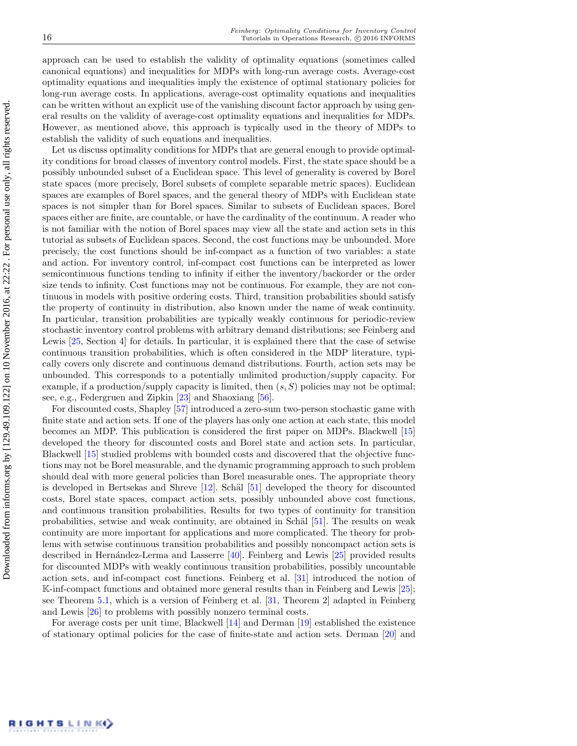approach can be used to establish the validity of optimality equations (sometimes called canonical equations) and inequalities for MDPs with long-run average costs. Average-cost optimality equations and inequalities imply the existence of optimal stationary policies for long-run average costs. In applications, average-cost optimality equations and inequalities can be written without an explicit use of the vanishing discount factor approach by using general results on the validity of average-cost optimality equations and inequalities for MDPs. However, as mentioned above, this approach is typically used in the theory of MDPs to establish the validity of such equations and inequalities.

Let us discuss optimality conditions for MDPs that are general enough to provide optimality conditions for broad classes of inventory control models. First, the state space should be a possibly unbounded subset of a Euclidean space. This level of generality is covered by Borel state spaces (more precisely, Borel subsets of complete separable metric spaces). Euclidean spaces are examples of Borel spaces, and the general theory of MDPs with Euclidean state spaces is not simpler than for Borel spaces. Similar to subsets of Euclidean spaces, Borel spaces either are finite, are countable, or have the cardinality of the continuum. A reader who is not familiar with the notion of Borel spaces may view all the state and action sets in this tutorial as subsets of Euclidean spaces. Second, the cost functions may be unbounded. More precisely, the cost functions should be inf-compact as a function of two variables: a state and action. For inventory control, inf-compact cost functions can be interpreted as lower semicontinuous functions tending to infinity if either the inventory/backorder or the order size tends to infinity. Cost functions may not be continuous. For example, they are not continuous in models with positive ordering costs. Third, transition probabilities should satisfy the property of continuity in distribution, also known under the name of weak continuity. In particular, transition probabilities are typically weakly continuous for periodic-review stochastic inventory control problems with arbitrary demand distributions; see Feinberg and Lewis [\[25,](#page-30-11) Section 4] for details. In particular, it is explained there that the case of setwise continuous transition probabilities, which is often considered in the MDP literature, typically covers only discrete and continuous demand distributions. Fourth, action sets may be unbounded. This corresponds to a potentially unlimited production/supply capacity. For example, if a production/supply capacity is limited, then  $(s, S)$  policies may not be optimal; see, e.g., Federgruen and Zipkin [\[23\]](#page-30-12) and Shaoxiang [\[56\]](#page-31-12).

For discounted costs, Shapley [\[57\]](#page-31-13) introduced a zero-sum two-person stochastic game with finite state and action sets. If one of the players has only one action at each state, this model becomes an MDP. This publication is considered the first paper on MDPs. Blackwell [\[15\]](#page-29-6) developed the theory for discounted costs and Borel state and action sets. In particular, Blackwell [\[15\]](#page-29-6) studied problems with bounded costs and discovered that the objective functions may not be Borel measurable, and the dynamic programming approach to such problem should deal with more general policies than Borel measurable ones. The appropriate theory is developed in Bertsekas and Shreve  $[12]$ . Schäl  $[51]$  developed the theory for discounted costs, Borel state spaces, compact action sets, possibly unbounded above cost functions, and continuous transition probabilities. Results for two types of continuity for transition probabilities, setwise and weak continuity, are obtained in Schäl [\[51\]](#page-31-14). The results on weak continuity are more important for applications and more complicated. The theory for problems with setwise continuous transition probabilities and possibly noncompact action sets is described in Hernández-Lerma and Lasserre  $[40]$ . Feinberg and Lewis  $[25]$  provided results for discounted MDPs with weakly continuous transition probabilities, possibly uncountable action sets, and inf-compact cost functions. Feinberg et al. [\[31\]](#page-30-7) introduced the notion of K-inf-compact functions and obtained more general results than in Feinberg and Lewis [\[25\]](#page-30-11); see Theorem [5.1,](#page-14-0) which is a version of Feinberg et al. [\[31,](#page-30-7) Theorem 2] adapted in Feinberg and Lewis [\[26\]](#page-30-8) to problems with possibly nonzero terminal costs.

For average costs per unit time, Blackwell [\[14\]](#page-29-7) and Derman [\[19\]](#page-30-13) established the existence of stationary optimal policies for the case of finite-state and action sets. Derman [\[20\]](#page-30-14) and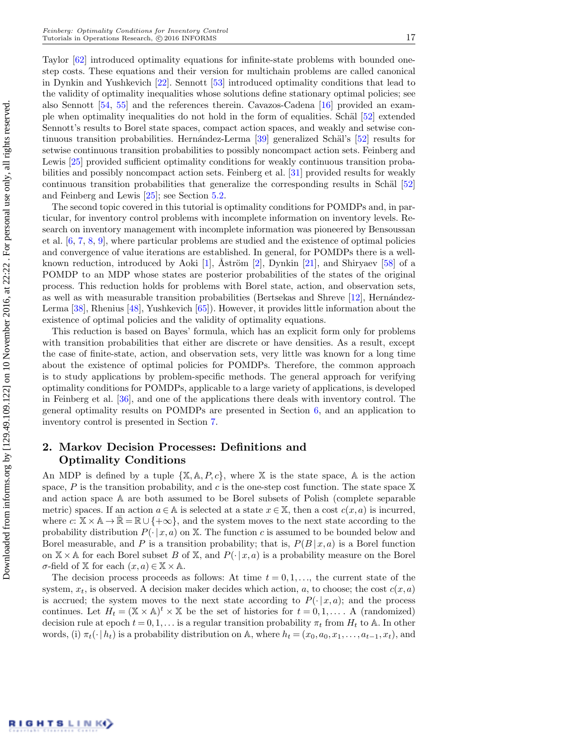Taylor [\[62\]](#page-31-15) introduced optimality equations for infinite-state problems with bounded onestep costs. These equations and their version for multichain problems are called canonical in Dynkin and Yushkevich [\[22\]](#page-30-1). Sennott [\[53\]](#page-31-16) introduced optimality conditions that lead to the validity of optimality inequalities whose solutions define stationary optimal policies; see also Sennott [\[54,](#page-31-1) [55\]](#page-31-17) and the references therein. Cavazos-Cadena [\[16\]](#page-29-8) provided an exam-ple when optimality inequalities do not hold in the form of equalities. Schäl [\[52\]](#page-31-18) extended Sennott's results to Borel state spaces, compact action spaces, and weakly and setwise continuous transition probabilities. Hernández-Lerma  $\left[39\right]$  generalized Schäl's  $\left[52\right]$  results for setwise continuous transition probabilities to possibly noncompact action sets. Feinberg and Lewis [\[25\]](#page-30-11) provided sufficient optimality conditions for weakly continuous transition probabilities and possibly noncompact action sets. Feinberg et al. [\[31\]](#page-30-7) provided results for weakly continuous transition probabilities that generalize the corresponding results in Schäl  $[52]$ and Feinberg and Lewis [\[25\]](#page-30-11); see Section [5.2.](#page-15-0)

The second topic covered in this tutorial is optimality conditions for POMDPs and, in particular, for inventory control problems with incomplete information on inventory levels. Research on inventory management with incomplete information was pioneered by Bensoussan et al. [\[6,](#page-29-9) [7,](#page-29-10) [8,](#page-29-11) [9\]](#page-29-12), where particular problems are studied and the existence of optimal policies and convergence of value iterations are established. In general, for POMDPs there is a well-known reduction, introduced by Aoki [\[1\]](#page-29-13),  $\tilde{A}$ ström [\[2\]](#page-29-14), Dynkin [\[21\]](#page-30-16), and Shiryaev [\[58\]](#page-31-19) of a POMDP to an MDP whose states are posterior probabilities of the states of the original process. This reduction holds for problems with Borel state, action, and observation sets, as well as with measurable transition probabilities (Bertsekas and Shreve  $[12]$ , Hernández-Lerma [\[38\]](#page-30-4), Rhenius [\[48\]](#page-31-20), Yushkevich [\[65\]](#page-31-21)). However, it provides little information about the existence of optimal policies and the validity of optimality equations.

This reduction is based on Bayes' formula, which has an explicit form only for problems with transition probabilities that either are discrete or have densities. As a result, except the case of finite-state, action, and observation sets, very little was known for a long time about the existence of optimal policies for POMDPs. Therefore, the common approach is to study applications by problem-specific methods. The general approach for verifying optimality conditions for POMDPs, applicable to a large variety of applications, is developed in Feinberg et al. [\[36\]](#page-30-17), and one of the applications there deals with inventory control. The general optimality results on POMDPs are presented in Section [6,](#page-18-0) and an application to inventory control is presented in Section [7.](#page-24-0)

# 2. Markov Decision Processes: Definitions and Optimality Conditions

An MDP is defined by a tuple  $\{X, A, P, c\}$ , where X is the state space, A is the action space, P is the transition probability, and c is the one-step cost function. The state space  $X$ and action space A are both assumed to be Borel subsets of Polish (complete separable metric) spaces. If an action  $a \in A$  is selected at a state  $x \in X$ , then a cost  $c(x, a)$  is incurred, where  $c: \mathbb{X} \times \mathbb{A} \to \mathbb{R} = \mathbb{R} \cup \{+\infty\}$ , and the system moves to the next state according to the probability distribution  $P(\cdot | x, a)$  on X. The function c is assumed to be bounded below and Borel measurable, and P is a transition probability; that is,  $P(B | x, a)$  is a Borel function on  $X \times A$  for each Borel subset B of X, and  $P(\cdot | x, a)$  is a probability measure on the Borel σ-field of X for each (x, a) ∈ X × A.

The decision process proceeds as follows: At time  $t = 0, 1, \ldots$ , the current state of the system,  $x_t$ , is observed. A decision maker decides which action, a, to choose; the cost  $c(x, a)$ is accrued; the system moves to the next state according to  $P(\cdot | x, a)$ ; and the process continues. Let  $H_t = (\mathbb{X} \times \mathbb{A})^t \times \mathbb{X}$  be the set of histories for  $t = 0, 1, \ldots$ . A (randomized) decision rule at epoch  $t = 0, 1, \ldots$  is a regular transition probability  $\pi_t$  from  $H_t$  to A. In other words, (i)  $\pi_t(\cdot | h_t)$  is a probability distribution on A, where  $h_t = (x_0, a_0, x_1, \ldots, a_{t-1}, x_t)$ , and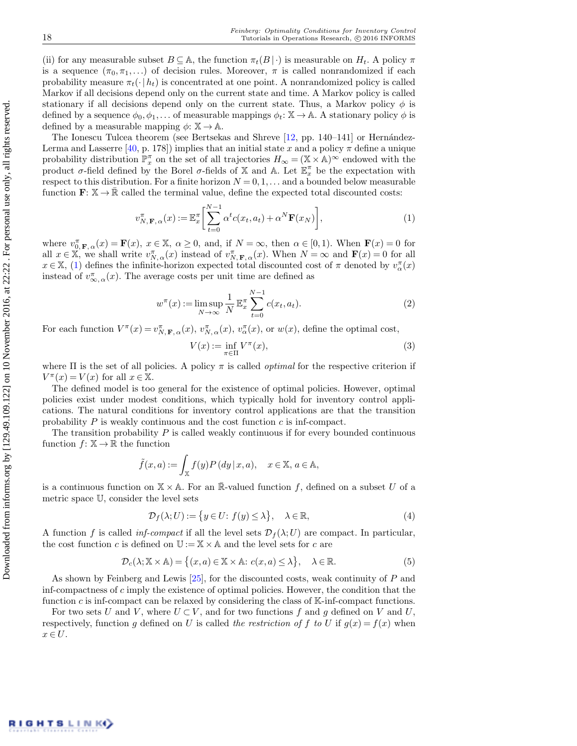(ii) for any measurable subset  $B \subseteq \mathbb{A}$ , the function  $\pi_t(B \mid \cdot)$  is measurable on  $H_t$ . A policy  $\pi$ is a sequence  $(\pi_0, \pi_1, \ldots)$  of decision rules. Moreover,  $\pi$  is called nonrandomized if each probability measure  $\pi_t(\cdot|h_t)$  is concentrated at one point. A nonrandomized policy is called Markov if all decisions depend only on the current state and time. A Markov policy is called stationary if all decisions depend only on the current state. Thus, a Markov policy  $\phi$  is defined by a sequence  $\phi_0, \phi_1, \ldots$  of measurable mappings  $\phi_t: \mathbb{X} \to \mathbb{A}$ . A stationary policy  $\phi$  is defined by a measurable mapping  $\phi: \mathbb{X} \to \mathbb{A}$ .

The Ionescu Tulcea theorem (see Bertsekas and Shreve  $[12, pp. 140-141]$  $[12, pp. 140-141]$  or Hernández-Lerma and Lasserre [\[40,](#page-30-5) p. 178]) implies that an initial state x and a policy  $\pi$  define a unique probability distribution  $\mathbb{P}_x^{\pi}$  on the set of all trajectories  $H_{\infty} = (\mathbb{X} \times \mathbb{A})^{\infty}$  endowed with the product  $\sigma$ -field defined by the Borel  $\sigma$ -fields of X and A. Let  $\mathbb{E}_x^{\pi}$  be the expectation with respect to this distribution. For a finite horizon  $N = 0, 1, \ldots$  and a bounded below measurable function  $\mathbf{F} \colon \mathbb{X} \to \mathbb{R}$  called the terminal value, define the expected total discounted costs:

<span id="page-5-0"></span>
$$
v_{N,\mathbf{F},\alpha}^{\pi}(x) := \mathbb{E}_x^{\pi} \left[ \sum_{t=0}^{N-1} \alpha^t c(x_t, a_t) + \alpha^N \mathbf{F}(x_N) \right],\tag{1}
$$

where  $v_{0,\mathbf{F},\alpha}^{\pi}(x) = \mathbf{F}(x), x \in \mathbb{X}, \alpha \ge 0$ , and, if  $N = \infty$ , then  $\alpha \in [0,1)$ . When  $\mathbf{F}(x) = 0$  for all  $x \in \mathbb{X}$ , we shall write  $v_{N,\alpha}^{\pi}(x)$  instead of  $v_{N,\mathbf{F},\alpha}^{\pi}(x)$ . When  $N = \infty$  and  $\mathbf{F}(x) = 0$  for all  $x \in \mathbb{X}$ , [\(1\)](#page-5-0) defines the infinite-horizon expected total discounted cost of  $\pi$  denoted by  $v^{\pi}_{\alpha}(x)$ instead of  $v_{\infty,\,\alpha}^{\pi}(x)$ . The average costs per unit time are defined as

$$
w^{\pi}(x) := \limsup_{N \to \infty} \frac{1}{N} \mathbb{E}_x^{\pi} \sum_{t=0}^{N-1} c(x_t, a_t).
$$
 (2)

For each function  $V^{\pi}(x) = v_{N,\mathbf{F},\alpha}^{\pi}(x), v_{N,\alpha}^{\pi}(x), v_{\alpha}^{\pi}(x)$ , or  $w(x)$ , define the optimal cost,

$$
V(x) := \inf_{\pi \in \Pi} V^{\pi}(x),\tag{3}
$$

where  $\Pi$  is the set of all policies. A policy  $\pi$  is called *optimal* for the respective criterion if  $V^{\pi}(x) = V(x)$  for all  $x \in \mathbb{X}$ .

The defined model is too general for the existence of optimal policies. However, optimal policies exist under modest conditions, which typically hold for inventory control applications. The natural conditions for inventory control applications are that the transition probability  $P$  is weakly continuous and the cost function  $c$  is inf-compact.

The transition probability  $P$  is called weakly continuous if for every bounded continuous function  $f: \mathbb{X} \to \mathbb{R}$  the function

$$
\tilde{f}(x, a) := \int_{\mathbb{X}} f(y) P(dy | x, a), \quad x \in \mathbb{X}, a \in \mathbb{A},
$$

is a continuous function on  $\mathbb{X} \times \mathbb{A}$ . For an R-valued function f, defined on a subset U of a metric space U, consider the level sets

$$
\mathcal{D}_f(\lambda; U) := \{ y \in U \colon f(y) \le \lambda \}, \quad \lambda \in \mathbb{R}, \tag{4}
$$

A function f is called *inf-compact* if all the level sets  $\mathcal{D}_f(\lambda;U)$  are compact. In particular, the cost function c is defined on  $\mathbb{U} := \mathbb{X} \times \mathbb{A}$  and the level sets for c are

$$
\mathcal{D}_c(\lambda; \mathbb{X} \times \mathbb{A}) = \left\{ (x, a) \in \mathbb{X} \times \mathbb{A} : c(x, a) \le \lambda \right\}, \quad \lambda \in \mathbb{R}.
$$
 (5)

As shown by Feinberg and Lewis [\[25\]](#page-30-11), for the discounted costs, weak continuity of P and inf-compactness of  $c$  imply the existence of optimal policies. However, the condition that the function c is inf-compact can be relaxed by considering the class of  $\mathbb{K}\text{-inf-compact}$  functions.

<span id="page-5-1"></span>For two sets U and V, where  $U \subset V$ , and for two functions f and g defined on V and U, respectively, function g defined on U is called the restriction of f to U if  $g(x) = f(x)$  when  $x \in U$ .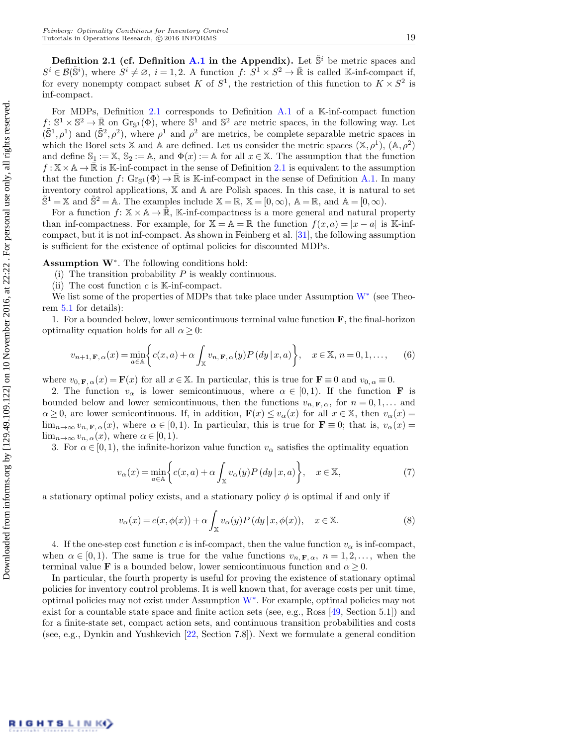Definition 2.1 (cf. Definition [A.1](#page-28-0) in the Appendix). Let  $\tilde{S}^i$  be metric spaces and  $S^i \in \mathcal{B}(\tilde{\mathbb{S}}^i)$ , where  $S^i \neq \emptyset$ ,  $i = 1, 2$ . A function  $f: S^1 \times S^2 \to \mathbb{R}$  is called K-inf-compact if, for every nonempty compact subset K of  $S^1$ , the restriction of this function to  $K \times S^2$  is inf-compact.

For MDPs, Definition [2.1](#page-5-1) corresponds to Definition [A.1](#page-28-0) of a K-inf-compact function  $f: S^1 \times S^2 \to \mathbb{R}$  on  $\text{Gr}_{S^1}(\Phi)$ , where  $S^1$  and  $S^2$  are metric spaces, in the following way. Let  $(\tilde{S}^1,\rho^1)$  and  $(\tilde{S}^2,\rho^2)$ , where  $\rho^1$  and  $\rho^2$  are metrics, be complete separable metric spaces in which the Borel sets X and A are defined. Let us consider the metric spaces  $(X, \rho^1)$ ,  $(A, \rho^2)$ and define  $\mathbb{S}_1 := \mathbb{X}, \mathbb{S}_2 := \mathbb{A},$  and  $\Phi(x) := \mathbb{A}$  for all  $x \in \mathbb{X}$ . The assumption that the function  $f: \mathbb{X} \times \mathbb{A} \to \mathbb{R}$  is K-inf-compact in the sense of Definition [2.1](#page-5-1) is equivalent to the assumption that the function  $f: Gr_{\mathbb{S}^1}(\Phi) \to \mathbb{R}$  is K-inf-compact in the sense of Definition [A.1.](#page-28-0) In many inventory control applications, X and A are Polish spaces. In this case, it is natural to set  $\hat{S}^1 = \mathbb{X}$  and  $\hat{S}^2 = \mathbb{A}$ . The examples include  $\mathbb{X} = \mathbb{R}$ ,  $\mathbb{X} = [0, \infty)$ ,  $\mathbb{A} = \mathbb{R}$ , and  $\mathbb{A} = [0, \infty)$ .

For a function  $f: \mathbb{X} \times \mathbb{A} \to \mathbb{R}$ , K-inf-compactness is a more general and natural property than inf-compactness. For example, for  $\mathbb{X} = \mathbb{A} = \mathbb{R}$  the function  $f(x, a) = |x - a|$  is K-infcompact, but it is not inf-compact. As shown in Feinberg et al. [\[31\]](#page-30-7), the following assumption is sufficient for the existence of optimal policies for discounted MDPs.

Assumption W<sup>∗</sup> . The following conditions hold:

- <span id="page-6-1"></span><span id="page-6-0"></span>(i) The transition probability  $P$  is weakly continuous.
- (ii) The cost function  $c$  is K-inf-compact.

[W](#page-6-0)e list some of the properties of MDPs that take place under Assumption  $W^*$  (see Theorem [5.1](#page-14-0) for details):

1. For a bounded below, lower semicontinuous terminal value function  $\mathbf{F}$ , the final-horizon optimality equation holds for all  $\alpha \geq 0$ :

<span id="page-6-2"></span>
$$
v_{n+1,\mathbf{F},\alpha}(x) = \min_{a \in \mathbb{A}} \bigg\{ c(x,a) + \alpha \int_{\mathbb{X}} v_{n,\mathbf{F},\alpha}(y) P\left(dy \mid x,a\right) \bigg\}, \quad x \in \mathbb{X}, n = 0, 1, \dots, \tag{6}
$$

where  $v_{0,\mathbf{F},\alpha}(x) = \mathbf{F}(x)$  for all  $x \in \mathbb{X}$ . In particular, this is true for  $\mathbf{F} \equiv 0$  and  $v_{0,\alpha} \equiv 0$ .

2. The function  $v_{\alpha}$  is lower semicontinuous, where  $\alpha \in [0,1)$ . If the function **F** is bounded below and lower semicontinuous, then the functions  $v_{n, \mathbf{F}, \alpha}$ , for  $n = 0, 1, \dots$  and  $\alpha \geq 0$ , are lower semicontinuous. If, in addition,  $\mathbf{F}(x) \leq v_{\alpha}(x)$  for all  $x \in \mathbb{X}$ , then  $v_{\alpha}(x) =$  $\lim_{n\to\infty} v_{n,\mathbf{F},\alpha}(x)$ , where  $\alpha \in [0,1)$ . In particular, this is true for  $\mathbf{F} \equiv 0$ ; that is,  $v_{\alpha}(x) =$  $\lim_{n\to\infty} v_{n,\alpha}(x)$ , where  $\alpha \in [0,1)$ .

3. For  $\alpha \in [0, 1)$ , the infinite-horizon value function  $v_{\alpha}$  satisfies the optimality equation

<span id="page-6-4"></span>
$$
v_{\alpha}(x) = \min_{a \in \mathbb{A}} \left\{ c(x, a) + \alpha \int_{\mathbb{X}} v_{\alpha}(y) P\left(dy \mid x, a\right) \right\}, \quad x \in \mathbb{X}, \tag{7}
$$

a stationary optimal policy exists, and a stationary policy  $\phi$  is optimal if and only if

<span id="page-6-3"></span>
$$
v_{\alpha}(x) = c(x, \phi(x)) + \alpha \int_{\mathbb{X}} v_{\alpha}(y) P(dy | x, \phi(x)), \quad x \in \mathbb{X}.
$$
 (8)

4. If the one-step cost function c is inf-compact, then the value function  $v_{\alpha}$  is inf-compact, when  $\alpha \in [0,1)$ . The same is true for the value functions  $v_{n,\mathbf{F},\alpha}$ ,  $n = 1,2,...$ , when the terminal value **F** is a bounded below, lower semicontinuous function and  $\alpha \geq 0$ .

In particular, the fourth property is useful for proving the existence of stationary optimal policies for inventory control problems. It is well known that, for average costs per unit time, optimal policies may not exist under Assumption [W](#page-6-0)<sup>∗</sup> . For example, optimal policies may not exist for a countable state space and finite action sets (see, e.g., Ross [\[49,](#page-31-22) Section 5.1]) and for a finite-state set, compact action sets, and continuous transition probabilities and costs (see, e.g., Dynkin and Yushkevich [\[22,](#page-30-1) Section 7.8]). Next we formulate a general condition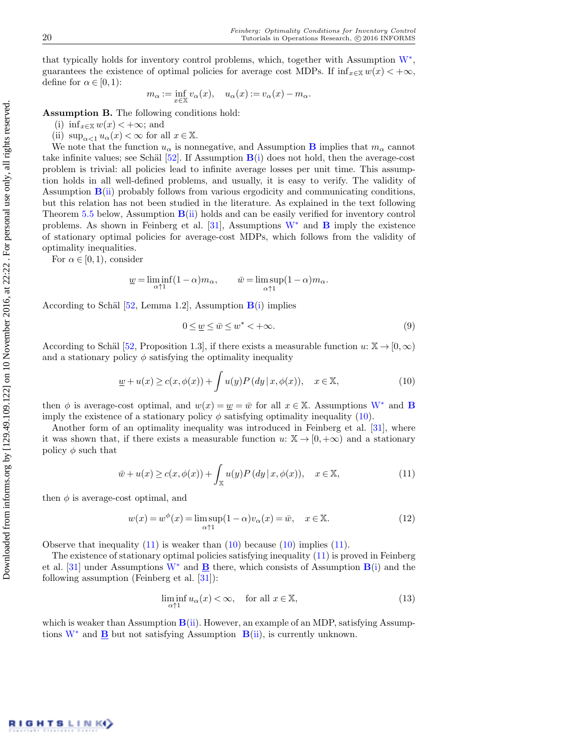that typically holds for inventory control problems, which, together with Assumption [W](#page-6-0)<sup>∗</sup> , guarantees the existence of optimal policies for average cost MDPs. If  $\inf_{x \in \mathbb{X}} w(x) < +\infty$ , define for  $\alpha \in [0,1)$ :

<span id="page-7-0"></span>
$$
m_{\alpha} := \inf_{x \in \mathbb{X}} v_{\alpha}(x), \quad u_{\alpha}(x) := v_{\alpha}(x) - m_{\alpha}.
$$

Assumption B. The following conditions hold:

- <span id="page-7-2"></span><span id="page-7-1"></span>(i) inf<sub> $x \in \mathbb{X}$ </sub>  $w(x) < +\infty$ ; and
- (ii)  $\sup_{\alpha < 1} u_\alpha(x) < \infty$  for all  $x \in \mathbb{X}$ .

We note that the function  $u_{\alpha}$  is nonnegative, and Assumption [B](#page-7-0) implies that  $m_{\alpha}$  cannot take infinite values; see Schäl  $[52]$ . If Assumption  $B(i)$  $B(i)$  does not hold, then the average-cost problem is trivial: all policies lead to infinite average losses per unit time. This assumption holds in all well-defined problems, and usually, it is easy to verify. The validity of Assumption  $B(i)$  $B(i)$  probably follows from various ergodicity and communicating conditions, but this relation has not been studied in the literature. As explained in the text following Theorem [5.5](#page-16-0) below, Assumption  $B(i)$  $B(i)$  holds and can be easily verified for inventory control problems. As shown in Feinberg et al. [\[31\]](#page-30-7), Assumptions  $W^*$  $W^*$  and **[B](#page-7-0)** imply the existence of stationary optimal policies for average-cost MDPs, which follows from the validity of optimality inequalities.

For  $\alpha \in [0,1)$ , consider

$$
\underline{w} = \liminf_{\alpha \uparrow 1} (1 - \alpha) m_{\alpha}, \qquad \overline{w} = \limsup_{\alpha \uparrow 1} (1 - \alpha) m_{\alpha}.
$$

According to Schäl [\[52,](#page-31-18) Lemma 1.2], Assumption  $B(i)$  $B(i)$  implies

$$
0 \le \underline{w} \le \overline{w} \le w^* < +\infty. \tag{9}
$$

According to Schäl [\[52,](#page-31-18) Proposition 1.3], if there exists a measurable function  $u: \mathbb{X} \to [0,\infty)$ and a stationary policy  $\phi$  satisfying the optimality inequality

<span id="page-7-3"></span>
$$
\underline{w} + u(x) \ge c(x, \phi(x)) + \int u(y)P(dy | x, \phi(x)), \quad x \in \mathbb{X}, \tag{10}
$$

then  $\phi$  is average-cost optimal, and  $w(x) = \underline{w} = \overline{w}$  for all  $x \in \mathbb{X}$ . Assumptions [W](#page-6-0)<sup>\*</sup> and **[B](#page-7-0)** imply the existence of a stationary policy  $\phi$  satisfying optimality inequality [\(10\)](#page-7-3).

Another form of an optimality inequality was introduced in Feinberg et al. [\[31\]](#page-30-7), where it was shown that, if there exists a measurable function  $u: \mathbb{X} \to [0, +\infty)$  and a stationary policy  $\phi$  such that

<span id="page-7-4"></span>
$$
\bar{w} + u(x) \ge c(x, \phi(x)) + \int_{\mathbb{X}} u(y) P(dy | x, \phi(x)), \quad x \in \mathbb{X}, \tag{11}
$$

then  $\phi$  is average-cost optimal, and

<span id="page-7-5"></span>
$$
w(x) = w^{\phi}(x) = \limsup_{\alpha \uparrow 1} (1 - \alpha) v_{\alpha}(x) = \bar{w}, \quad x \in \mathbb{X}.
$$
 (12)

Observe that inequality  $(11)$  is weaker than  $(10)$  because  $(10)$  implies  $(11)$ .

The existence of stationary optimal policies satisfying inequality [\(11\)](#page-7-4) is proved in Feinberg et al. [\[31\]](#page-30-7) under Assumptions [W](#page-6-0)<sup>∗</sup> and **[B](#page-7-0)** there, which consists of Assumption  $B(i)$  $B(i)$  and the following assumption (Feinberg et al. [\[31\]](#page-30-7)):

$$
\liminf_{\alpha \uparrow 1} u_{\alpha}(x) < \infty, \quad \text{for all } x \in \mathbb{X}, \tag{13}
$$

which is weaker than Assumption  $B(ii)$  $B(ii)$ . However, an example of an MDP, satisfying Assumptions  $W^*$  $W^*$  and  $\underline{B}$  $\underline{B}$  $\underline{B}$  but not satisfying Assumption  $B(ii)$  $B(ii)$ , is currently unknown.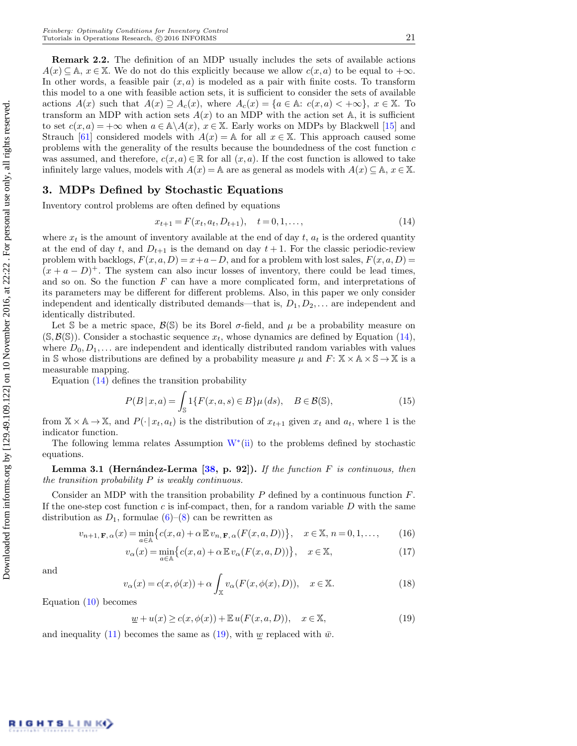Remark 2.2. The definition of an MDP usually includes the sets of available actions  $A(x) \subseteq A, x \in \mathbb{X}$ . We do not do this explicitly because we allow  $c(x, a)$  to be equal to  $+\infty$ . In other words, a feasible pair  $(x, a)$  is modeled as a pair with finite costs. To transform this model to a one with feasible action sets, it is sufficient to consider the sets of available actions  $A(x)$  such that  $A(x) \supseteq A_c(x)$ , where  $A_c(x) = \{a \in \mathbb{A}: c(x, a) < +\infty\}$ ,  $x \in \mathbb{X}$ . To transform an MDP with action sets  $A(x)$  to an MDP with the action set A, it is sufficient to set  $c(x, a) = +\infty$  when  $a \in \mathbb{A} \backslash A(x)$ ,  $x \in \mathbb{X}$ . Early works on MDPs by Blackwell [\[15\]](#page-29-6) and Strauch [\[61\]](#page-31-23) considered models with  $A(x) = \mathbb{A}$  for all  $x \in \mathbb{X}$ . This approach caused some problems with the generality of the results because the boundedness of the cost function  $c$ was assumed, and therefore,  $c(x, a) \in \mathbb{R}$  for all  $(x, a)$ . If the cost function is allowed to take infinitely large values, models with  $A(x) = \mathbb{A}$  are as general as models with  $A(x) \subseteq \mathbb{A}$ ,  $x \in \mathbb{X}$ .

## <span id="page-8-0"></span>3. MDPs Defined by Stochastic Equations

Inventory control problems are often defined by equations

<span id="page-8-1"></span>
$$
x_{t+1} = F(x_t, a_t, D_{t+1}), \quad t = 0, 1, \dots,
$$
\n<sup>(14)</sup>

where  $x_t$  is the amount of inventory available at the end of day t,  $a_t$  is the ordered quantity at the end of day t, and  $D_{t+1}$  is the demand on day  $t + 1$ . For the classic periodic-review problem with backlogs,  $F(x, a, D) = x+a-D$ , and for a problem with lost sales,  $F(x, a, D) =$  $(x + a - D)^+$ . The system can also incur losses of inventory, there could be lead times, and so on. So the function  $F$  can have a more complicated form, and interpretations of its parameters may be different for different problems. Also, in this paper we only consider independent and identically distributed demands—that is,  $D_1, D_2, \ldots$  are independent and identically distributed.

Let S be a metric space,  $\mathcal{B}(\mathbb{S})$  be its Borel  $\sigma$ -field, and  $\mu$  be a probability measure on  $(\mathcal{S}, \mathcal{B}(\mathcal{S}))$ . Consider a stochastic sequence  $x_t$ , whose dynamics are defined by Equation [\(14\)](#page-8-1), where  $D_0, D_1, \ldots$  are independent and identically distributed random variables with values in S whose distributions are defined by a probability measure  $\mu$  and  $F: \mathbb{X} \times \mathbb{A} \times \mathbb{S} \to \mathbb{X}$  is a measurable mapping.

Equation [\(14\)](#page-8-1) defines the transition probability

<span id="page-8-3"></span>
$$
P(B \mid x, a) = \int_{\mathbb{S}} 1\{F(x, a, s) \in B\} \mu(ds), \quad B \in \mathcal{B}(\mathbb{S}),
$$
 (15)

from  $\mathbb{X} \times \mathbb{A} \to \mathbb{X}$ , and  $P(\cdot | x_t, a_t)$  is the distribution of  $x_{t+1}$  given  $x_t$  and  $a_t$ , where 1 is the indicator function.

The following lemma relates Assumption  $W^*(ii)$  $W^*(ii)$  $W^*(ii)$  to the problems defined by stochastic equations.

**Lemma 3.1 (Hernández-Lerma [\[38,](#page-30-4) p. 92]).** If the function F is continuous, then the transition probability  $P$  is weakly continuous.

Consider an MDP with the transition probability  $P$  defined by a continuous function  $F$ . If the one-step cost function  $c$  is inf-compact, then, for a random variable  $D$  with the same distribution as  $D_1$ , formulae  $(6)-(8)$  $(6)-(8)$  $(6)-(8)$  can be rewritten as

$$
v_{n+1,\mathbf{F},\alpha}(x) = \min_{a \in \mathbb{A}} \left\{ c(x,a) + \alpha \mathbb{E} v_{n,\mathbf{F},\alpha}(F(x,a,D)) \right\}, \quad x \in \mathbb{X}, n = 0, 1, \dots,
$$
 (16)

$$
v_{\alpha}(x) = \min_{a \in \mathbb{A}} \{ c(x, a) + \alpha \mathbb{E} v_{\alpha}(F(x, a, D)) \}, \quad x \in \mathbb{X},
$$
\n(17)

and

$$
v_{\alpha}(x) = c(x, \phi(x)) + \alpha \int_{\mathbb{X}} v_{\alpha}(F(x, \phi(x), D)), \quad x \in \mathbb{X}.
$$
 (18)

Equation [\(10\)](#page-7-3) becomes

<span id="page-8-2"></span>
$$
\underline{w} + u(x) \ge c(x, \phi(x)) + \mathbb{E} u(F(x, a, D)), \quad x \in \mathbb{X},
$$
\n(19)

and inequality [\(11\)](#page-7-4) becomes the same as [\(19\)](#page-8-2), with w replaced with  $\bar{w}$ .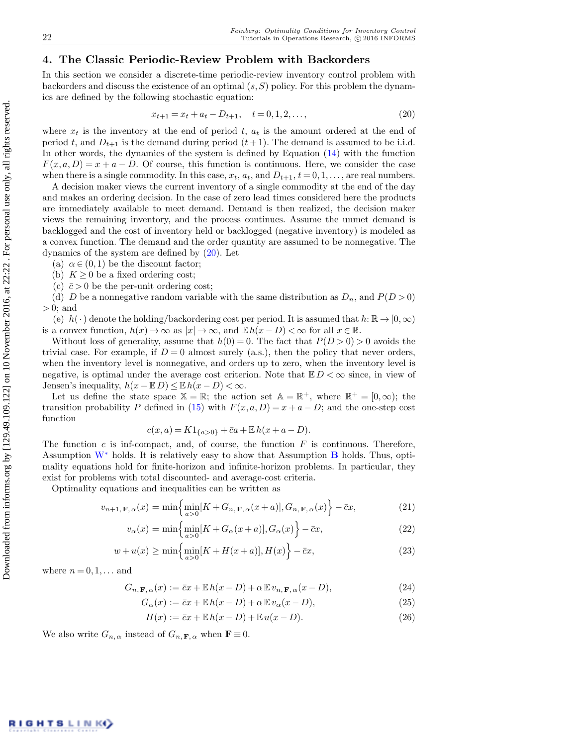# <span id="page-9-0"></span>4. The Classic Periodic-Review Problem with Backorders

In this section we consider a discrete-time periodic-review inventory control problem with backorders and discuss the existence of an optimal  $(s, S)$  policy. For this problem the dynamics are defined by the following stochastic equation:

<span id="page-9-1"></span>
$$
x_{t+1} = x_t + a_t - D_{t+1}, \quad t = 0, 1, 2, \dots,\tag{20}
$$

where  $x_t$  is the inventory at the end of period t,  $a_t$  is the amount ordered at the end of period t, and  $D_{t+1}$  is the demand during period  $(t+1)$ . The demand is assumed to be i.i.d. In other words, the dynamics of the system is defined by Equation [\(14\)](#page-8-1) with the function  $F(x, a, D) = x + a - D$ . Of course, this function is continuous. Here, we consider the case when there is a single commodity. In this case,  $x_t$ ,  $a_t$ , and  $D_{t+1}$ ,  $t = 0, 1, \ldots$ , are real numbers.

A decision maker views the current inventory of a single commodity at the end of the day and makes an ordering decision. In the case of zero lead times considered here the products are immediately available to meet demand. Demand is then realized, the decision maker views the remaining inventory, and the process continues. Assume the unmet demand is backlogged and the cost of inventory held or backlogged (negative inventory) is modeled as a convex function. The demand and the order quantity are assumed to be nonnegative. The dynamics of the system are defined by [\(20\)](#page-9-1). Let

(a)  $\alpha \in (0,1)$  be the discount factor;

(b)  $K \geq 0$  be a fixed ordering cost;

(c)  $\bar{c} > 0$  be the per-unit ordering cost;

(d) D be a nonnegative random variable with the same distribution as  $D_n$ , and  $P(D>0)$  $> 0$ ; and

(e)  $h(\cdot)$  denote the holding/backordering cost per period. It is assumed that  $h: \mathbb{R} \to [0,\infty)$ is a convex function,  $h(x) \to \infty$  as  $|x| \to \infty$ , and  $\mathbb{E} h(x - D) < \infty$  for all  $x \in \mathbb{R}$ .

Without loss of generality, assume that  $h(0) = 0$ . The fact that  $P(D > 0) > 0$  avoids the trivial case. For example, if  $D = 0$  almost surely (a.s.), then the policy that never orders, when the inventory level is nonnegative, and orders up to zero, when the inventory level is negative, is optimal under the average cost criterion. Note that  $E D < \infty$  since, in view of Jensen's inequality,  $h(x - \mathbb{E} D) \leq \mathbb{E} h(x - D) < \infty$ .

Let us define the state space  $\mathbb{X} = \mathbb{R}$ ; the action set  $\mathbb{A} = \mathbb{R}^+$ , where  $\mathbb{R}^+ = [0, \infty)$ ; the transition probability P defined in [\(15\)](#page-8-3) with  $F(x, a, D) = x + a - D$ ; and the one-step cost function

$$
c(x, a) = K1_{\{a>0\}} + \bar{c}a + \mathbb{E}h(x + a - D).
$$

The function  $c$  is inf-compact, and, of course, the function  $F$  is continuous. Therefore, Assumption  $W^*$  $W^*$  holds. It is relatively easy to show that Assumption  $\bf{B}$  $\bf{B}$  $\bf{B}$  holds. Thus, optimality equations hold for finite-horizon and infinite-horizon problems. In particular, they exist for problems with total discounted- and average-cost criteria.

Optimality equations and inequalities can be written as

<span id="page-9-2"></span>
$$
v_{n+1,\mathbf{F},\alpha}(x) = \min\left\{\min_{a>0}[K+G_{n,\mathbf{F},\alpha}(x+a)], G_{n,\mathbf{F},\alpha}(x)\right\} - \bar{c}x,\tag{21}
$$

$$
v_{\alpha}(x) = \min\left\{\min_{a>0}[K + G_{\alpha}(x+a)], G_{\alpha}(x)\right\} - \bar{c}x,\tag{22}
$$

$$
w + u(x) \ge \min\left\{\min_{a>0} [K + H(x+a)], H(x)\right\} - \bar{c}x,\tag{23}
$$

where  $n = 0, 1, \ldots$  and

$$
G_{n,\mathbf{F},\alpha}(x) := \bar{c}x + \mathbb{E}h(x - D) + \alpha \mathbb{E}v_{n,\mathbf{F},\alpha}(x - D),
$$
\n(24)

$$
G_{\alpha}(x) := \bar{c}x + \mathbb{E}h(x - D) + \alpha \mathbb{E}v_{\alpha}(x - D),
$$
\n(25)

$$
H(x) := \overline{c}x + \mathbb{E}h(x - D) + \mathbb{E}u(x - D).
$$
 (26)

We also write  $G_{n,\alpha}$  instead of  $G_{n,\mathbf{F},\alpha}$  when  $\mathbf{F}\equiv 0$ .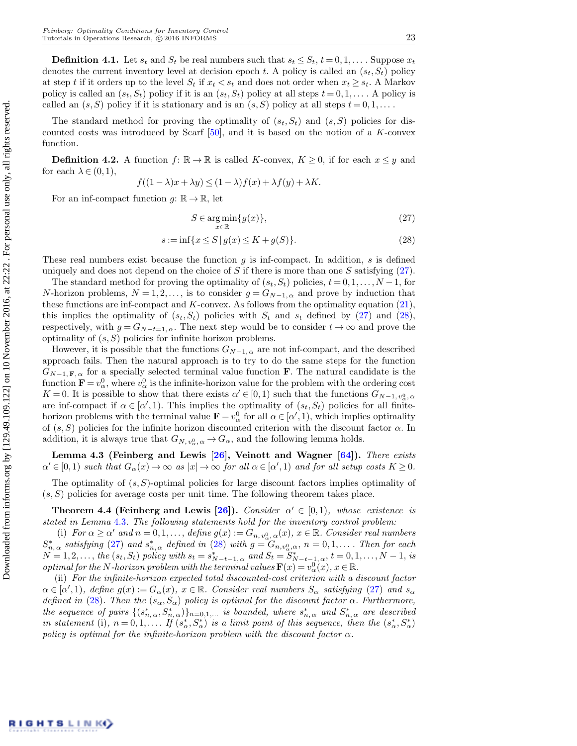**Definition 4.1.** Let  $s_t$  and  $S_t$  be real numbers such that  $s_t \leq S_t$ ,  $t = 0, 1, \ldots$ . Suppose  $x_t$ denotes the current inventory level at decision epoch t. A policy is called an  $(s_t, S_t)$  policy at step t if it orders up to the level  $S_t$  if  $x_t < s_t$  and does not order when  $x_t \geq s_t$ . A Markov policy is called an  $(s_t, S_t)$  policy if it is an  $(s_t, S_t)$  policy at all steps  $t = 0, 1, \ldots$ . A policy is called an  $(s, S)$  policy if it is stationary and is an  $(s, S)$  policy at all steps  $t = 0, 1, \ldots$ .

The standard method for proving the optimality of  $(s_t, S_t)$  and  $(s, S)$  policies for discounted costs was introduced by Scarf  $[50]$ , and it is based on the notion of a K-convex function.

**Definition 4.2.** A function  $f: \mathbb{R} \to \mathbb{R}$  is called K-convex,  $K \geq 0$ , if for each  $x \leq y$  and for each  $\lambda \in (0,1)$ ,

$$
f((1 - \lambda)x + \lambda y) \le (1 - \lambda)f(x) + \lambda f(y) + \lambda K.
$$

For an inf-compact function  $q: \mathbb{R} \to \mathbb{R}$ , let

<span id="page-10-1"></span><span id="page-10-0"></span>
$$
S \in \underset{x \in \mathbb{R}}{\arg \min} \{ g(x) \},\tag{27}
$$

$$
s := \inf\{x \le S \,|\, g(x) \le K + g(S)\}.\tag{28}
$$

These real numbers exist because the function  $g$  is inf-compact. In addition,  $s$  is defined uniquely and does not depend on the choice of S if there is more than one S satisfying  $(27)$ .

The standard method for proving the optimality of  $(s_t, S_t)$  policies,  $t = 0, 1, \ldots, N-1$ , for N-horizon problems,  $N = 1, 2, \ldots$ , is to consider  $g = G_{N-1, \alpha}$  and prove by induction that these functions are inf-compact and  $K$ -convex. As follows from the optimality equation [\(21\)](#page-9-2), this implies the optimality of  $(s_t, S_t)$  policies with  $S_t$  and  $s_t$  defined by [\(27\)](#page-10-0) and [\(28\)](#page-10-1), respectively, with  $g = G_{N-t=1,\alpha}$ . The next step would be to consider  $t \to \infty$  and prove the optimality of  $(s, S)$  policies for infinite horizon problems.

However, it is possible that the functions  $G_{N-1,\alpha}$  are not inf-compact, and the described approach fails. Then the natural approach is to try to do the same steps for the function  $G_{N-1,\mathbf{F},\alpha}$  for a specially selected terminal value function **F**. The natural candidate is the function  $\mathbf{F} = v_{\alpha}^0$ , where  $v_{\alpha}^0$  is the infinite-horizon value for the problem with the ordering cost  $K = 0$ . It is possible to show that there exists  $\alpha' \in [0, 1)$  such that the functions  $G_{N-1, v_{\alpha}^0, \alpha'}$ are inf-compact if  $\alpha \in [\alpha', 1)$ . This implies the optimality of  $(s_t, S_t)$  policies for all finitehorizon problems with the terminal value  $\mathbf{F} = v_\alpha^0$  for all  $\alpha \in [\alpha', 1)$ , which implies optimality of  $(s, S)$  policies for the infinite horizon discounted criterion with the discount factor  $\alpha$ . In addition, it is always true that  $G_{N,\,v_{\alpha}^0,\,\alpha} \to G_{\alpha}$ , and the following lemma holds.

<span id="page-10-2"></span>Lemma 4.3 (Feinberg and Lewis [\[26\]](#page-30-8), Veinott and Wagner [\[64\]](#page-31-8)). There exists  $\alpha' \in [0,1)$  such that  $G_{\alpha}(x) \to \infty$  as  $|x| \to \infty$  for all  $\alpha \in [\alpha',1)$  and for all setup costs  $K \geq 0$ .

The optimality of  $(s, S)$ -optimal policies for large discount factors implies optimality of  $(s, S)$  policies for average costs per unit time. The following theorem takes place.

<span id="page-10-3"></span>**Theorem 4.4 (Feinberg and Lewis [\[26\]](#page-30-8)).** Consider  $\alpha' \in [0,1)$ , whose existence is stated in Lemma [4](#page-10-2).3. The following statements hold for the inventory control problem:

<span id="page-10-4"></span>(i) For  $\alpha \geq \alpha'$  and  $n = 0, 1, ...,$  define  $g(x) := G_{n, v_{\alpha}, \alpha}(x), x \in \mathbb{R}$ . Consider real numbers  $S_{n,\alpha}^*$  satisfying [\(27\)](#page-10-0) and  $s_{n,\alpha}^*$  defined in [\(28\)](#page-10-1) with  $g = G_{n,v_\alpha^0,\alpha}$ ,  $n = 0,1,...$  Then for each  $N = 1, 2, \ldots,$  the  $(s_t, S_t)$  policy with  $s_t = s_{N-t-1, \alpha}^*$  and  $S_t = S_{N-t-1, \alpha}^*$ ,  $t = 0, 1, \ldots, N-1$ , is optimal for the N-horizon problem with the terminal values  $\mathbf{F}(x) = v_\alpha^{0}(x)$ ,  $x \in \mathbb{R}$ .

<span id="page-10-5"></span>(ii) For the infinite-horizon expected total discounted-cost criterion with a discount factor  $\alpha \in [\alpha', 1)$ , define  $g(x) := G_{\alpha}(x)$ ,  $x \in \mathbb{R}$ . Consider real numbers  $S_{\alpha}$  satisfying [\(27\)](#page-10-0) and  $s_{\alpha}$ defined in [\(28\)](#page-10-1). Then the  $(s_{\alpha}, S_{\alpha})$  policy is optimal for the discount factor  $\alpha$ . Furthermore, the sequence of pairs  $\{(s_{n,\alpha}^*, S_{n,\alpha}^*)\}_{n=0,1,...}$  is bounded, where  $s_{n,\alpha}^*$  and  $S_{n,\alpha}^*$  are described in statement (i),  $n=0,1,\ldots$  If  $(s_{\alpha}^*,S_{\alpha}^*)$  is a limit point of this sequence, then the  $(s_{\alpha}^*,S_{\alpha}^*)$ policy is optimal for the infinite-horizon problem with the discount factor  $\alpha$ .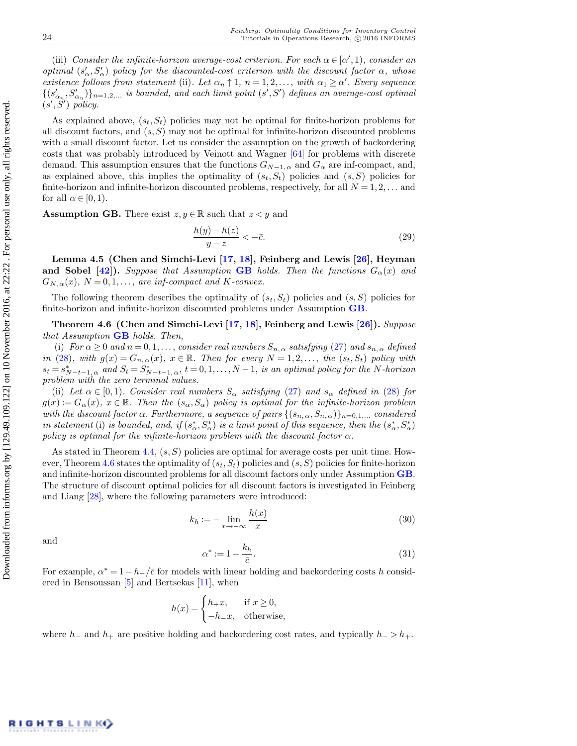(iii) Consider the infinite-horizon average-cost criterion. For each  $\alpha \in [\alpha', 1)$ , consider an optimal  $(s'_\alpha, s'_\alpha)$  policy for the discounted-cost criterion with the discount factor  $\alpha$ , whose existence follows from statement (ii). Let  $\alpha_n \uparrow 1$ ,  $n = 1, 2, \ldots$ , with  $\alpha_1 \geq \alpha'$ . Every sequence  $\{(s'_{{\alpha}_n},S'_{{\alpha}_n})\}_{n=1,2,...}$  is bounded, and each limit point  $(s',S')$  defines an average-cost optimal  $(s', S')$  policy.

As explained above,  $(s_t, S_t)$  policies may not be optimal for finite-horizon problems for all discount factors, and  $(s, S)$  may not be optimal for infinite-horizon discounted problems with a small discount factor. Let us consider the assumption on the growth of backordering costs that was probably introduced by Veinott and Wagner [\[64\]](#page-31-8) for problems with discrete demand. This assumption ensures that the functions  $G_{N-1, \alpha}$  and  $G_{\alpha}$  are inf-compact, and, as explained above, this implies the optimality of  $(s_t, S_t)$  policies and  $(s, S)$  policies for finite-horizon and infinite-horizon discounted problems, respectively, for all  $N = 1, 2, \ldots$  and for all  $\alpha \in [0,1)$ .

<span id="page-11-0"></span>**Assumption GB.** There exist  $z, y \in \mathbb{R}$  such that  $z \leq y$  and

$$
\frac{h(y) - h(z)}{y - z} < -\bar{c}.\tag{29}
$$

Lemma 4.5 (Chen and Simchi-Levi [\[17,](#page-29-4) [18\]](#page-29-5), Feinberg and Lewis [\[26\]](#page-30-8), Heyman and Sobel [\[42\]](#page-30-3)). Suppose that Assumption [GB](#page-11-0) holds. Then the functions  $G_{\alpha}(x)$  and  $G_{N,\alpha}(x)$ ,  $N=0,1,\ldots$ , are inf-compact and K-convex.

The following theorem describes the optimality of  $(s_t, S_t)$  policies and  $(s, S)$  policies for finite-horizon and infinite-horizon discounted problems under Assumption [GB](#page-11-0).

<span id="page-11-1"></span>Theorem 4.6 (Chen and Simchi-Levi [\[17,](#page-29-4) [18\]](#page-29-5), Feinberg and Lewis [\[26\]](#page-30-8)). Suppose that Assumption  $GB$  holds. Then,

<span id="page-11-2"></span>(i) For  $\alpha \geq 0$  and  $n = 0, 1, \ldots$ , consider real numbers  $S_{n,\alpha}$  satisfying [\(27\)](#page-10-0) and  $s_{n,\alpha}$  defined in [\(28\)](#page-10-1), with  $g(x) = G_{n,\alpha}(x)$ ,  $x \in \mathbb{R}$ . Then for every  $N = 1, 2, \ldots$ , the  $(s_t, S_t)$  policy with  $s_t = s_{N-t-1, \alpha}^*$  and  $S_t = S_{N-t-1, \alpha}^*$ ,  $t = 0, 1, \ldots, N-1$ , is an optimal policy for the N-horizon problem with the zero terminal values.

<span id="page-11-3"></span>(ii) Let  $\alpha \in [0,1)$ . Consider real numbers  $S_{\alpha}$  satisfying [\(27\)](#page-10-0) and  $s_{\alpha}$  defined in [\(28\)](#page-10-1) for  $g(x) := G_{\alpha}(x), x \in \mathbb{R}$ . Then the  $(s_{\alpha}, S_{\alpha})$  policy is optimal for the infinite-horizon problem with the discount factor  $\alpha$ . Furthermore, a sequence of pairs  $\{(s_{n,\alpha}, S_{n,\alpha})\}_{n=0,1,\dots}$  considered in statement (i) is bounded, and, if  $(s_\alpha^*, S_\alpha^*)$  is a limit point of this sequence, then the  $(s_\alpha^*, S_\alpha^*)$ policy is optimal for the infinite-horizon problem with the discount factor  $\alpha$ .

As stated in Theorem [4.4,](#page-10-3)  $(s, S)$  policies are optimal for average costs per unit time. How-ever, Theorem [4.6](#page-11-1) states the optimality of  $(s_t, S_t)$  policies and  $(s, S)$  policies for finite-horizon and infinite-horizon discounted problems for all discount factors only under Assumption [GB](#page-11-0). The structure of discount optimal policies for all discount factors is investigated in Feinberg and Liang [\[28\]](#page-30-9), where the following parameters were introduced:

$$
k_h := -\lim_{x \to -\infty} \frac{h(x)}{x} \tag{30}
$$

and

<span id="page-11-4"></span>
$$
\alpha^* := 1 - \frac{k_h}{\bar{c}}.\tag{31}
$$

For example,  $\alpha^* = 1 - h_{-}/\bar{c}$  for models with linear holding and backordering costs h considered in Bensoussan [\[5\]](#page-29-2) and Bertsekas [\[11\]](#page-29-15), when

$$
h(x) = \begin{cases} h_{+}x, & \text{if } x \ge 0, \\ -h_{-}x, & \text{otherwise,} \end{cases}
$$

where  $h_-\$  and  $h_+$  are positive holding and backordering cost rates, and typically  $h_-\geq h_+$ .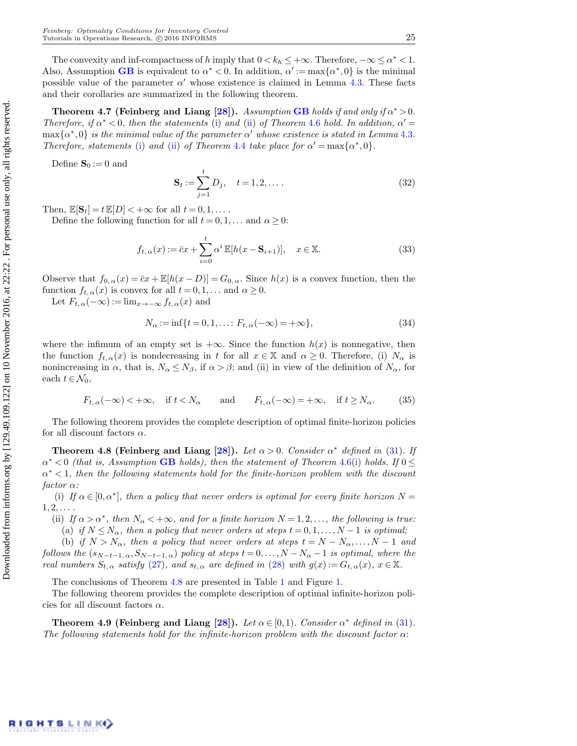The convexity and inf-compactness of h imply that  $0 < k_h \leq +\infty$ . Therefore,  $-\infty \leq \alpha^* < 1$ . Also, Assumption [GB](#page-11-0) is equivalent to  $\alpha^* < 0$ . In addition,  $\alpha' := \max{\alpha^*, 0}$  is the minimal possible value of the parameter  $\alpha'$  whose existence is claimed in Lemma [4.3.](#page-10-2) These facts and their corollaries are summarized in the following theorem.

Theorem 4.7 (Feinberg and Liang [\[28\]](#page-30-9)). Assumption [GB](#page-11-0) holds if and only if  $\alpha^* > 0$ . Therefore, if  $\alpha^* < 0$ , then the statements [\(i\)](#page-11-2) and [\(ii\)](#page-11-3) of Theorem [4](#page-11-1).6 hold. In addition,  $\alpha' =$  $\max\{\alpha^*,0\}$  is the minimal value of the parameter  $\alpha'$  whose existence is stated in Lemma [4](#page-10-2).3. Therefore, statements [\(i\)](#page-10-4) and [\(ii\)](#page-10-5) of Theorem [4](#page-10-3).4 take place for  $\alpha' = \max{\alpha^*, 0}$ .

Define  $\mathbf{S}_0 := 0$  and

$$
\mathbf{S}_{t} := \sum_{j=1}^{t} D_{j}, \quad t = 1, 2, \dots
$$
 (32)

Then,  $\mathbb{E}[\mathbf{S}_t] = t \mathbb{E}[D] < +\infty$  for all  $t = 0, 1, \dots$ .

Define the following function for all  $t = 0, 1, \dots$  and  $\alpha \geq 0$ :

$$
f_{t,\alpha}(x) := \bar{c}x + \sum_{i=0}^{t} \alpha^{i} \mathbb{E}[h(x - \mathbf{S}_{i+1})], \quad x \in \mathbb{X}.
$$
 (33)

Observe that  $f_{0,\alpha}(x) = \overline{c}x + \mathbb{E}[h(x-D)] = G_{0,\alpha}$ . Since  $h(x)$  is a convex function, then the function  $f_{t,\alpha}(x)$  is convex for all  $t = 0, 1, \dots$  and  $\alpha \geq 0$ .

Let  $F_{t,\alpha}(-\infty) := \lim_{x\to-\infty} f_{t,\alpha}(x)$  and

<span id="page-12-1"></span>
$$
N_{\alpha} := \inf\{t = 0, 1, \dots : F_{t, \alpha}(-\infty) = +\infty\},\tag{34}
$$

where the infimum of an empty set is  $+\infty$ . Since the function  $h(x)$  is nonnegative, then the function  $f_{t,\alpha}(x)$  is nondecreasing in t for all  $x \in \mathbb{X}$  and  $\alpha \geq 0$ . Therefore, (i)  $N_{\alpha}$  is nonincreasing in  $\alpha$ , that is,  $N_{\alpha} \leq N_{\beta}$ , if  $\alpha > \beta$ ; and (ii) in view of the definition of  $N_{\alpha}$ , for each  $t \in \mathcal{N}_0$ ,

$$
F_{t,\alpha}(-\infty) < +\infty, \quad \text{if } t < N_{\alpha} \qquad \text{and} \qquad F_{t,\alpha}(-\infty) = +\infty, \quad \text{if } t \ge N_{\alpha}.\tag{35}
$$

The following theorem provides the complete description of optimal finite-horizon policies for all discount factors  $\alpha$ .

<span id="page-12-0"></span>Theorem 4.8 (Feinberg and Liang [\[28\]](#page-30-9)). Let  $\alpha > 0$ . Consider  $\alpha^*$  defined in [\(31\)](#page-11-4). If  $\alpha^*$  < 0 (that is, Assumption [GB](#page-11-0) holds), then the statement of Theorem [4.6](#page-11-1)[\(i\)](#page-11-2) holds. If  $0 \leq$  $\alpha^*$  < 1, then the following statements hold for the finite-horizon problem with the discount factor α:

(i) If  $\alpha \in [0, \alpha^*]$ , then a policy that never orders is optimal for every finite horizon  $N =$  $1, 2, \ldots$ 

(ii) If  $\alpha > \alpha^*$ , then  $N_\alpha < +\infty$ , and for a finite horizon  $N = 1, 2, \ldots$ , the following is true:

(a) if  $N \leq N_\alpha$ , then a policy that never orders at steps  $t = 0, 1, ..., N - 1$  is optimal;

(b) if  $N > N_\alpha$ , then a policy that never orders at steps  $t = N - N_\alpha, \ldots, N-1$  and follows the  $(s_{N-t-1,\alpha}, S_{N-t-1,\alpha})$  policy at steps  $t = 0, \ldots, N - N_\alpha - 1$  is optimal, where the real numbers  $S_{t,\alpha}$  satisfy [\(27\)](#page-10-0), and  $s_{t,\alpha}$  are defined in [\(28\)](#page-10-1) with  $g(x) := G_{t,\alpha}(x)$ ,  $x \in \mathbb{X}$ .

The conclusions of Theorem [4.8](#page-12-0) are presented in Table [1](#page-13-0) and Figure [1.](#page-13-1)

The following theorem provides the complete description of optimal infinite-horizon policies for all discount factors  $\alpha$ .

<span id="page-12-2"></span>Theorem 4.9 (Feinberg and Liang [\[28\]](#page-30-9)). Let  $\alpha \in [0,1)$ . Consider  $\alpha^*$  defined in [\(31\)](#page-11-4). The following statements hold for the infinite-horizon problem with the discount factor  $\alpha$ :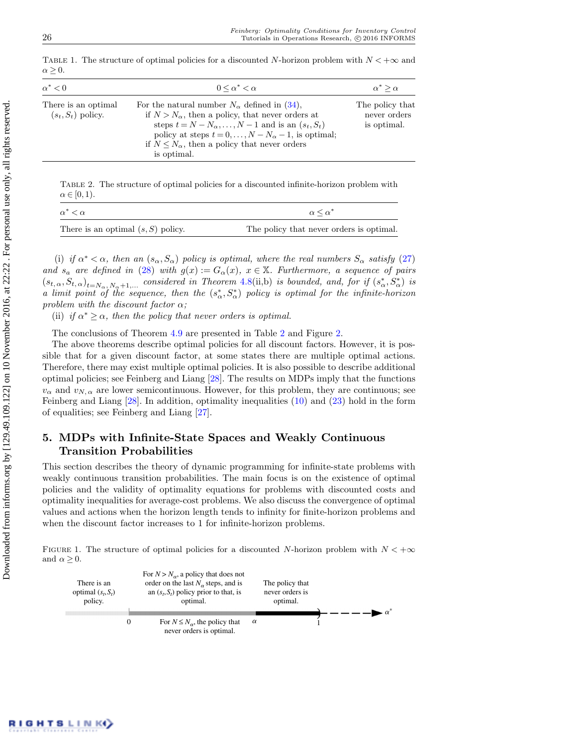| $\alpha^*$ < 0                              | $0 \leq \alpha^* \leq \alpha$                                                                                                                                                                                                                                                                                                       | $\alpha^* > \alpha$                            |  |
|---------------------------------------------|-------------------------------------------------------------------------------------------------------------------------------------------------------------------------------------------------------------------------------------------------------------------------------------------------------------------------------------|------------------------------------------------|--|
| There is an optimal<br>$(s_t, S_t)$ policy. | For the natural number $N_{\alpha}$ defined in (34),<br>if $N > N_{\alpha}$ , then a policy, that never orders at<br>steps $t = N - N_{\alpha}, \ldots, N - 1$ and is an $(s_t, S_t)$<br>policy at steps $t = 0, \ldots, N - N_{\alpha} - 1$ , is optimal;<br>if $N \leq N_\alpha$ , then a policy that never orders<br>is optimal. | The policy that<br>never orders<br>is optimal. |  |

<span id="page-13-0"></span>TABLE 1. The structure of optimal policies for a discounted N-horizon problem with  $N < +\infty$  and  $\alpha \geq 0$ .

<span id="page-13-2"></span>Table 2. The structure of optimal policies for a discounted infinite-horizon problem with  $\alpha \in [0,1)$ .

| $\alpha^* < \alpha$                  | $\alpha \leq \alpha^*$                   |
|--------------------------------------|------------------------------------------|
| There is an optimal $(s, S)$ policy. | The policy that never orders is optimal. |

(i) if  $\alpha^* < \alpha$ , then an  $(s_\alpha, S_\alpha)$  policy is optimal, where the real numbers  $S_\alpha$  satisfy [\(27\)](#page-10-0) and  $s_a$  are defined in [\(28\)](#page-10-1) with  $g(x) := G_\alpha(x)$ ,  $x \in \mathbb{X}$ . Furthermore, a sequence of pairs  $(s_{t,\alpha},S_{t,\alpha})_{t=N_{\alpha},N_{\alpha}+1,...}$  considered in Theorem 4.[8\(](#page-12-0)ii,b) is bounded, and, for if  $(s_{\alpha}^*,S_{\alpha}^*)$  is a limit point of the sequence, then the  $(s^*_{\alpha}, s^*_{\alpha})$  policy is optimal for the infinite-horizon problem with the discount factor  $\alpha$ ;

(ii) if  $\alpha^* \geq \alpha$ , then the policy that never orders is optimal.

The conclusions of Theorem [4.9](#page-12-2) are presented in Table [2](#page-13-2) and Figure [2.](#page-14-1)

The above theorems describe optimal policies for all discount factors. However, it is possible that for a given discount factor, at some states there are multiple optimal actions. Therefore, there may exist multiple optimal policies. It is also possible to describe additional optimal policies; see Feinberg and Liang [\[28\]](#page-30-9). The results on MDPs imply that the functions  $v_{\alpha}$  and  $v_{N,\alpha}$  are lower semicontinuous. However, for this problem, they are continuous; see Feinberg and Liang [\[28\]](#page-30-9). In addition, optimality inequalities [\(10\)](#page-7-3) and [\(23\)](#page-9-2) hold in the form of equalities; see Feinberg and Liang [\[27\]](#page-30-10).

# 5. MDPs with Infinite-State Spaces and Weakly Continuous Transition Probabilities

This section describes the theory of dynamic programming for infinite-state problems with weakly continuous transition probabilities. The main focus is on the existence of optimal policies and the validity of optimality equations for problems with discounted costs and optimality inequalities for average-cost problems. We also discuss the convergence of optimal values and actions when the horizon length tends to infinity for finite-horizon problems and when the discount factor increases to 1 for infinite-horizon problems.

FIGURE 1. The structure of optimal policies for a discounted N-horizon problem with  $N < +\infty$ and  $\alpha \geq 0$ .

<span id="page-13-1"></span>

| There is an<br>optimal $(s_t, S_t)$<br>policy. |          | For $N > N_{\alpha}$ , a policy that does not<br>order on the last $N_{\alpha}$ steps, and is<br>an $(s_t, S_t)$ policy prior to that, is<br>optimal. |          | The policy that<br>never orders is<br>optimal. |  |  |
|------------------------------------------------|----------|-------------------------------------------------------------------------------------------------------------------------------------------------------|----------|------------------------------------------------|--|--|
|                                                | $\Omega$ | For $N \leq N_{\alpha}$ , the policy that<br>never orders is optimal.                                                                                 | $\alpha$ |                                                |  |  |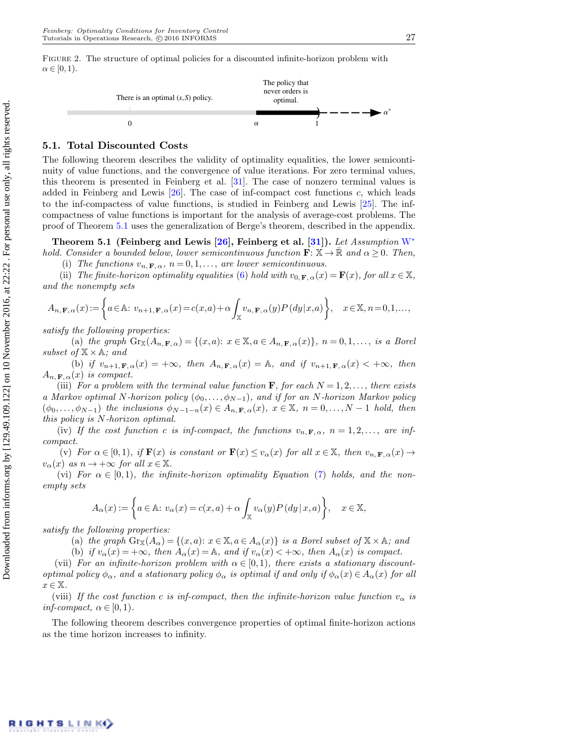<span id="page-14-1"></span>

# 5.1. Total Discounted Costs

The following theorem describes the validity of optimality equalities, the lower semicontinuity of value functions, and the convergence of value iterations. For zero terminal values, this theorem is presented in Feinberg et al. [\[31\]](#page-30-7). The case of nonzero terminal values is added in Feinberg and Lewis [\[26\]](#page-30-8). The case of inf-compact cost functions c, which leads to the inf-compactess of value functions, is studied in Feinberg and Lewis [\[25\]](#page-30-11). The infcompactness of value functions is important for the analysis of average-cost problems. The proof of Theorem [5.1](#page-14-0) uses the generalization of Berge's theorem, described in the appendix.

<span id="page-14-0"></span>Theorem 5.1 (Feinberg and Lewis [\[26\]](#page-30-8), Feinberg et al. [\[31\]](#page-30-7)). Let Assumption  $W^*$  $W^*$ hold. Consider a bounded below, lower semicontinuous function  $\mathbf{F}: \mathbb{X} \to \mathbb{R}$  and  $\alpha \geq 0$ . Then,

(i) The functions  $v_{n,\mathbf{F},\alpha}$ ,  $n = 0,1,...$ , are lower semicontinuous.

(ii) The finite-horizon optimality equalities [\(6\)](#page-6-2) hold with  $v_{0,\mathbf{F},\alpha}(x) = \mathbf{F}(x)$ , for all  $x \in \mathbb{X}$ , and the nonempty sets

$$
A_{n,\mathbf{F},\alpha}(x) := \left\{ a \in \mathbb{A}: \ v_{n+1,\mathbf{F},\alpha}(x) = c(x,a) + \alpha \int_{\mathbb{X}} v_{n,\mathbf{F},\alpha}(y) P\left(dy|x,a\right) \right\}, \quad x \in \mathbb{X}, n = 0,1,...,
$$

satisfy the following properties:

(a) the graph  $\text{Gr}_\mathbb{X}(A_{n,\mathbf{F},\alpha}) = \{(x,a): x \in \mathbb{X}, a \in A_{n,\mathbf{F},\alpha}(x)\}, n = 0,1,\ldots, \text{ is a Borel }$ subset of  $\mathbb{X} \times \mathbb{A}$ ; and

(b) if  $v_{n+1,\mathbf{F},\alpha}(x) = +\infty$ , then  $A_{n,\mathbf{F},\alpha}(x) = A$ , and if  $v_{n+1,\mathbf{F},\alpha}(x) < +\infty$ , then  $A_{n,\mathbf{F},\alpha}(x)$  is compact.

(iii) For a problem with the terminal value function **F**, for each  $N = 1, 2, \ldots$ , there exists a Markov optimal N-horizon policy  $(\phi_0, \ldots, \phi_{N-1})$ , and if for an N-horizon Markov policy  $(\phi_0, \ldots, \phi_{N-1})$  the inclusions  $\phi_{N-1-n}(x) \in A_{n,\mathbf{F},\alpha}(x), x \in \mathbb{X}, n = 0, \ldots, N-1$  hold, then this policy is N-horizon optimal.

(iv) If the cost function c is inf-compact, the functions  $v_n$ ,  $\mathbf{F}, \alpha$ ,  $n = 1, 2, \ldots$ , are infcompact.

(v) For  $\alpha \in [0,1)$ , if  $\mathbf{F}(x)$  is constant or  $\mathbf{F}(x) \le v_{\alpha}(x)$  for all  $x \in \mathbb{X}$ , then  $v_{n,\mathbf{F},\alpha}(x) \to$  $v_{\alpha}(x)$  as  $n \to +\infty$  for all  $x \in \mathbb{X}$ .

(vi) For  $\alpha \in [0,1)$ , the infinite-horizon optimality Equation [\(7\)](#page-6-4) holds, and the nonempty sets

$$
A_{\alpha}(x) := \left\{ a \in \mathbb{A}: \, v_{\alpha}(x) = c(x, a) + \alpha \int_{\mathbb{X}} v_{\alpha}(y) P\left(dy \mid x, a\right) \right\}, \quad x \in \mathbb{X},
$$

satisfy the following properties:

(a) the graph  $\text{Gr}_{\mathbb{X}}(A_{\alpha}) = \{(x, a): x \in \mathbb{X}, a \in A_{\alpha}(x)\}\$ is a Borel subset of  $\mathbb{X} \times \mathbb{A}$ ; and

(b) if  $v_{\alpha}(x) = +\infty$ , then  $A_{\alpha}(x) = A$ , and if  $v_{\alpha}(x) < +\infty$ , then  $A_{\alpha}(x)$  is compact.

(vii) For an infinite-horizon problem with  $\alpha \in [0,1)$ , there exists a stationary discountoptimal policy  $\phi_{\alpha}$ , and a stationary policy  $\phi_{\alpha}$  is optimal if and only if  $\phi_{\alpha}(x) \in A_{\alpha}(x)$  for all  $x \in \mathbb{X}$ .

(viii) If the cost function c is inf-compact, then the infinite-horizon value function  $v_{\alpha}$  is inf-compact,  $\alpha \in [0,1)$ .

The following theorem describes convergence properties of optimal finite-horizon actions as the time horizon increases to infinity.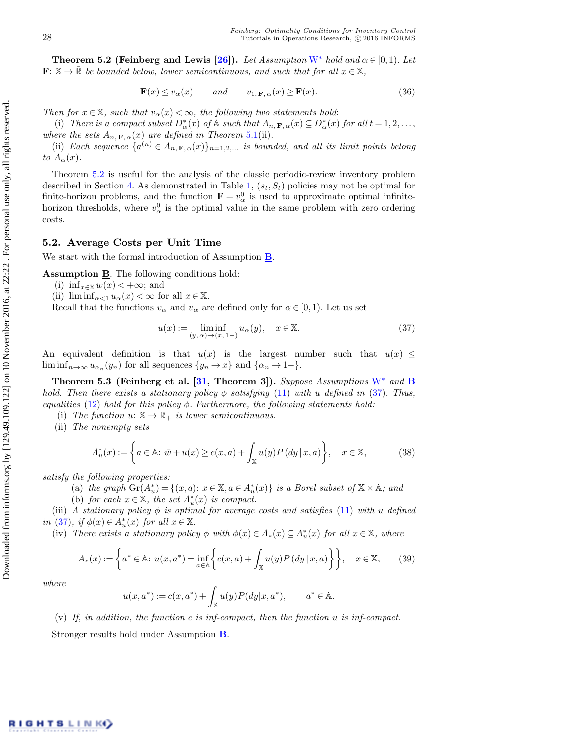<span id="page-15-2"></span>**Theorem 5.2 (Feinberg and Lewis [\[26\]](#page-30-8)).** Let Assumption [W](#page-6-0)<sup>∗</sup> hold and  $\alpha \in [0,1)$ . Let  $\mathbf{F}: \mathbb{X} \to \mathbb{R}$  be bounded below, lower semicontinuous, and such that for all  $x \in \mathbb{X}$ ,

$$
\mathbf{F}(x) \le v_{\alpha}(x) \qquad and \qquad v_{1,\mathbf{F},\alpha}(x) \ge \mathbf{F}(x). \tag{36}
$$

Then for  $x \in \mathbb{X}$ , such that  $v_\alpha(x) < \infty$ , the following two statements hold:

(i) There is a compact subset  $D_{\alpha}^{*}(x)$  of  $\mathbb{A}$  such that  $A_{n,\mathbf{F},\alpha}(x) \subseteq D_{\alpha}^{*}(x)$  for all  $t = 1,2,...$ , where the sets  $A_{n,\mathbf{F},\alpha}(x)$  are defined in Theorem 5.[1\(](#page-14-0)ii).

(ii) Each sequence  $\{a^{(n)} \in A_{n,\mathbf{F},\alpha}(x)\}_{n=1,2,...}$  is bounded, and all its limit points belong to  $A_{\alpha}(x)$ .

Theorem [5.2](#page-15-2) is useful for the analysis of the classic periodic-review inventory problem described in Section [4.](#page-9-0) As demonstrated in Table [1,](#page-13-0)  $(s_t, S_t)$  policies may not be optimal for finite-horizon problems, and the function  $\mathbf{F} = v_{\alpha}^0$  is used to approximate optimal infinitehorizon thresholds, where  $v_{\alpha}^{0}$  is the optimal value in the same problem with zero ordering costs.

### <span id="page-15-0"></span>5.2. Average Costs per Unit Time

We start with the formal introduction of Assumption  $\underline{\mathbf{B}}$  $\underline{\mathbf{B}}$  $\underline{\mathbf{B}}$ .

Assumption **B**. The following conditions hold:

- <span id="page-15-1"></span>(i) inf $x \in \mathbb{X}$   $w(x) < +\infty$ ; and
- (ii)  $\liminf_{\alpha < 1} u_\alpha(x) < \infty$  for all  $x \in \mathbb{X}$ .

Recall that the functions  $v_{\alpha}$  and  $u_{\alpha}$  are defined only for  $\alpha \in [0,1)$ . Let us set

<span id="page-15-3"></span>
$$
u(x) := \liminf_{(y,\alpha)\to(x,1-)} u_{\alpha}(y), \quad x \in \mathbb{X}.
$$
 (37)

An equivalent definition is that  $u(x)$  is the largest number such that  $u(x) \leq$  $\liminf_{n\to\infty} u_{\alpha_n}(y_n)$  for all sequences  $\{y_n\to x\}$  and  $\{\alpha_n\to 1-\}.$ 

Theorem 5.3 (Feinberg et al. [\[31,](#page-30-7) Theorem 3]). Suppose Assumptions  $W^*$  $W^*$  and  $\underline{B}$  $\underline{B}$  $\underline{B}$ hold. Then there exists a stationary policy  $\phi$  satisfying [\(11\)](#page-7-4) with u defined in [\(37\)](#page-15-3). Thus, equalities [\(12\)](#page-7-5) hold for this policy  $\phi$ . Furthermore, the following statements hold:

(i) The function  $u: \mathbb{X} \to \mathbb{R}_+$  is lower semicontinuous.

(ii) The nonempty sets

$$
A_u^*(x) := \left\{ a \in \mathbb{A} \colon \bar{w} + u(x) \ge c(x, a) + \int_{\mathbb{X}} u(y) P\left(dy \mid x, a\right) \right\}, \quad x \in \mathbb{X},\tag{38}
$$

satisfy the following properties:

- (a) the graph  $\operatorname{Gr}(A_u^*) = \{(x, a): x \in \mathbb{X}, a \in A_u^*(x)\}$  is a Borel subset of  $\mathbb{X} \times \mathbb{A}$ ; and
- (b) for each  $x \in \mathbb{X}$ , the set  $A_u^*(x)$  is compact.

(iii) A stationary policy  $\phi$  is optimal for average costs and satisfies [\(11\)](#page-7-4) with u defined in [\(37\)](#page-15-3), if  $\phi(x) \in A^*_u(x)$  for all  $x \in \mathbb{X}$ .

(iv) There exists a stationary policy  $\phi$  with  $\phi(x) \in A_*(x) \subseteq A^*_u(x)$  for all  $x \in \mathbb{X}$ , where

$$
A_*(x) := \left\{ a^* \in \mathbb{A} : u(x, a^*) = \inf_{a \in \mathbb{A}} \left\{ c(x, a) + \int_{\mathbb{X}} u(y) P\left( dy \, | \, x, a \right) \right\} \right\}, \quad x \in \mathbb{X},\qquad(39)
$$

where

$$
u(x, a^*) := c(x, a^*) + \int_{\mathbb{X}} u(y) P(dy|x, a^*), \qquad a^* \in \mathbb{A}.
$$

(v) If, in addition, the function c is inf-compact, then the function  $u$  is inf-compact. Stronger results hold under Assumption [B](#page-7-0).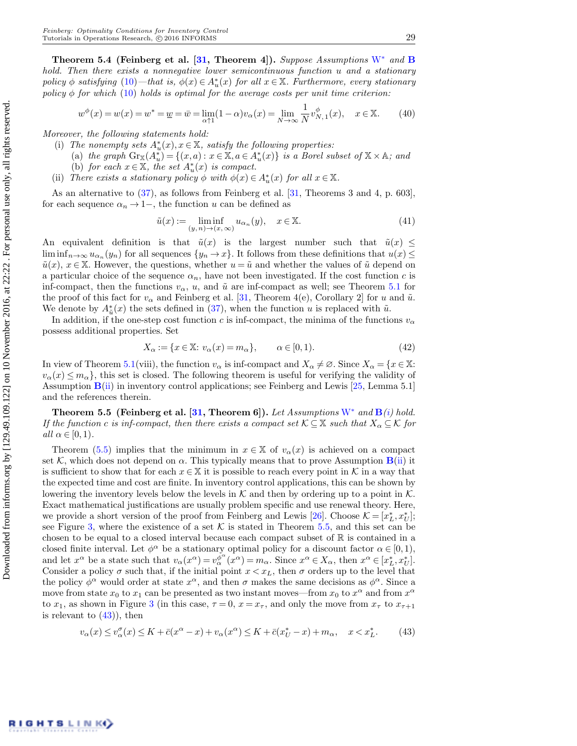Theorem 5.4 (Feinberg et al. [\[31,](#page-30-7) Theorem 4]). Suppose Assumptions [W](#page-6-0)<sup>∗</sup> and [B](#page-7-0) hold. Then there exists a nonnegative lower semicontinuous function u and a stationary policy  $\phi$  satisfying  $(10)$ —that is,  $\phi(x) \in A^*_u(x)$  for all  $x \in \mathbb{X}$ . Furthermore, every stationary policy  $\phi$  for which [\(10\)](#page-7-3) holds is optimal for the average costs per unit time criterion:

$$
w^{\phi}(x) = w(x) = w^* = w = \bar{w} = \lim_{\alpha \uparrow 1} (1 - \alpha) v_{\alpha}(x) = \lim_{N \to \infty} \frac{1}{N} v_{N,1}^{\phi}(x), \quad x \in \mathbb{X}.
$$
 (40)

Moreover, the following statements hold:

- (i) The nonempty sets  $A_u^*(x)$ ,  $x \in \mathbb{X}$ , satisfy the following properties:
	- (a) the graph  $\text{Gr}_{\mathbb{X}}(A_u^*) = \{(x, a) : x \in \mathbb{X}, a \in A_u^*(x)\}\$ is a Borel subset of  $\mathbb{X} \times \mathbb{A}$ ; and
	- (b) for each  $x \in \mathbb{X}$ , the set  $A_u^*(x)$  is compact.
- (ii) There exists a stationary policy  $\phi$  with  $\phi(x) \in A_u^*(x)$  for all  $x \in \mathbb{X}$ .

As an alternative to [\(37\)](#page-15-3), as follows from Feinberg et al. [\[31,](#page-30-7) Theorems 3 and 4, p. 603], for each sequence  $\alpha_n \to 1-$ , the function u can be defined as

<span id="page-16-2"></span>
$$
\tilde{u}(x) := \liminf_{(y,n)\to(x,\infty)} u_{\alpha_n}(y), \quad x \in \mathbb{X}.
$$
\n(41)

An equivalent definition is that  $\tilde{u}(x)$  is the largest number such that  $\tilde{u}(x) \leq$  $\liminf_{n\to\infty}u_{\alpha_n}(y_n)$  for all sequences  $\{y_n\to x\}$ . It follows from these definitions that  $u(x) \leq$  $\tilde{u}(x), x \in \mathbb{X}$ . However, the questions, whether  $u = \tilde{u}$  and whether the values of  $\tilde{u}$  depend on a particular choice of the sequence  $\alpha_n$ , have not been investigated. If the cost function c is inf-compact, then the functions  $v_{\alpha}$ , u, and  $\tilde{u}$  are inf-compact as well; see Theorem [5.1](#page-14-0) for the proof of this fact for  $v_{\alpha}$  and Feinberg et al. [\[31,](#page-30-7) Theorem 4(e), Corollary 2] for u and  $\tilde{u}$ . We denote by  $A^*_{\tilde{u}}(x)$  the sets defined in [\(37\)](#page-15-3), when the function u is replaced with  $\tilde{u}$ .

In addition, if the one-step cost function c is inf-compact, the minima of the functions  $v_{\alpha}$ possess additional properties. Set

$$
X_{\alpha} := \{ x \in \mathbb{X} \colon v_{\alpha}(x) = m_{\alpha} \}, \qquad \alpha \in [0, 1). \tag{42}
$$

In view of Theorem [5.1\(](#page-14-0)viii), the function  $v_{\alpha}$  is inf-compact and  $X_{\alpha} \neq \emptyset$ . Since  $X_{\alpha} = \{x \in \mathbb{X}:\alpha \in \mathbb{Z} : |f(x)| \leq \alpha \}$  $v_{\alpha}(x) \leq m_{\alpha}$ , this set is closed. The following theorem is useful for verifying the validity of Assumption  $\mathbf{B}$  $\mathbf{B}$  $\mathbf{B}$ [\(ii\)](#page-7-2) in inventory control applications; see Feinberg and Lewis [\[25,](#page-30-11) Lemma 5.1] and the references therein.

<span id="page-16-0"></span>Theorem 5.5 (Feinberg et al. [\[31,](#page-30-7) Theorem 6]). Let Assumptions [W](#page-6-0)<sup>\*</sup> and  $\mathbf{B}(i)$  $\mathbf{B}(i)$  $\mathbf{B}(i)$  $\mathbf{B}(i)$  hold. If the function c is inf-compact, then there exists a compact set  $\mathcal{K} \subseteq \mathbb{X}$  such that  $X_\alpha \subseteq \mathcal{K}$  for all  $\alpha \in [0,1)$ .

Theorem [\(5.5\)](#page-16-0) implies that the minimum in  $x \in \mathbb{X}$  of  $v_\alpha(x)$  is achieved on a compact set K, which does not depend on  $\alpha$ . This typically means that to prove Assumption  $\mathbf{B}$  $\mathbf{B}$  $\mathbf{B}$ [\(ii\)](#page-7-2) it is sufficient to show that for each  $x \in \mathbb{X}$  it is possible to reach every point in K in a way that the expected time and cost are finite. In inventory control applications, this can be shown by lowering the inventory levels below the levels in  $K$  and then by ordering up to a point in K. Exact mathematical justifications are usually problem specific and use renewal theory. Here, we provide a short version of the proof from Feinberg and Lewis [\[26\]](#page-30-8). Choose  $\mathcal{K} = [x_L^*, x_U^*];$ see Figure [3,](#page-17-0) where the existence of a set  $K$  is stated in Theorem [5.5,](#page-16-0) and this set can be chosen to be equal to a closed interval because each compact subset of  $\mathbb R$  is contained in a closed finite interval. Let  $\phi^{\alpha}$  be a stationary optimal policy for a discount factor  $\alpha \in [0,1)$ , and let  $x^{\alpha}$  be a state such that  $v_{\alpha}(x^{\alpha}) = v_{\alpha}^{\phi^{\alpha}}(x^{\alpha}) = m_{\alpha}$ . Since  $x^{\alpha} \in X_{\alpha}$ , then  $x^{\alpha} \in [x_L^*, x_U^*]$ . Consider a policy  $\sigma$  such that, if the initial point  $x < x_L$ , then  $\sigma$  orders up to the level that the policy  $\phi^{\alpha}$  would order at state  $x^{\alpha}$ , and then  $\sigma$  makes the same decisions as  $\phi^{\alpha}$ . Since a move from state  $x_0$  to  $x_1$  can be presented as two instant moves—from  $x_0$  to  $x^{\alpha}$  and from  $x^{\alpha}$ to  $x_1$ , as shown in Figure [3](#page-17-0) (in this case,  $\tau = 0$ ,  $x = x_{\tau}$ , and only the move from  $x_{\tau}$  to  $x_{\tau+1}$ is relevant to  $(43)$ , then

<span id="page-16-1"></span>
$$
v_{\alpha}(x) \le v_{\alpha}^{\sigma}(x) \le K + \bar{c}(x^{\alpha} - x) + v_{\alpha}(x^{\alpha}) \le K + \bar{c}(x_{U}^{*} - x) + m_{\alpha}, \quad x < x_{L}^{*}.
$$
 (43)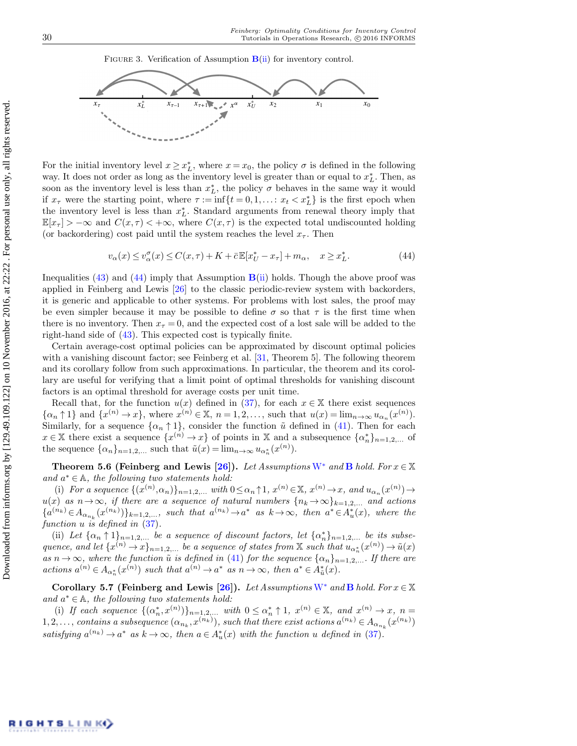#### <span id="page-17-0"></span>FIGURE 3. Verification of Assumption  $B(ii)$  $B(ii)$  for inventory control.



For the initial inventory level  $x \geq x_L^*$ , where  $x = x_0$ , the policy  $\sigma$  is defined in the following way. It does not order as long as the inventory level is greater than or equal to  $x_L^*$ . Then, as soon as the inventory level is less than  $x_L^*$ , the policy  $\sigma$  behaves in the same way it would if  $x_{\tau}$  were the starting point, where  $\tau := \inf\{t = 0, 1, \ldots : x_t < x_L^*\}$  is the first epoch when the inventory level is less than  $x_L^*$ . Standard arguments from renewal theory imply that  $\mathbb{E}[x_{\tau}] > -\infty$  and  $C(x, \tau) < +\infty$ , where  $C(x, \tau)$  is the expected total undiscounted holding (or backordering) cost paid until the system reaches the level  $x_{\tau}$ . Then

<span id="page-17-1"></span>
$$
v_{\alpha}(x) \le v_{\alpha}^{\sigma}(x) \le C(x,\tau) + K + \bar{c}\mathbb{E}[x_U^* - x_{\tau}] + m_{\alpha}, \quad x \ge x_L^*.
$$
 (44)

Inequalities  $(43)$  and  $(44)$  imply that Assumption  $\mathbf{B}$  $\mathbf{B}$  $\mathbf{B}$ [\(ii\)](#page-7-2) holds. Though the above proof was applied in Feinberg and Lewis [\[26\]](#page-30-8) to the classic periodic-review system with backorders, it is generic and applicable to other systems. For problems with lost sales, the proof may be even simpler because it may be possible to define  $\sigma$  so that  $\tau$  is the first time when there is no inventory. Then  $x<sub>\tau</sub> = 0$ , and the expected cost of a lost sale will be added to the right-hand side of [\(43\)](#page-16-1). This expected cost is typically finite.

Certain average-cost optimal policies can be approximated by discount optimal policies with a vanishing discount factor; see Feinberg et al. [\[31,](#page-30-7) Theorem 5]. The following theorem and its corollary follow from such approximations. In particular, the theorem and its corollary are useful for verifying that a limit point of optimal thresholds for vanishing discount factors is an optimal threshold for average costs per unit time.

Recall that, for the function  $u(x)$  defined in [\(37\)](#page-15-3), for each  $x \in X$  there exist sequences  $\{\alpha_n \uparrow 1\}$  and  $\{x^{(n)} \to x\}$ , where  $x^{(n)} \in \mathbb{X}$ ,  $n = 1, 2, \ldots$ , such that  $u(x) = \lim_{n \to \infty} u_{\alpha_n}(x^{(n)})$ . Similarly, for a sequence  $\{\alpha_n \uparrow 1\}$ , consider the function  $\tilde{u}$  defined in [\(41\)](#page-16-2). Then for each  $x \in \mathbb{X}$  there exist a sequence  $\{x^{(n)} \to x\}$  of points in X and a subsequence  $\{\alpha_n^*\}_{n=1,2,...}$  of the sequence  $\{\alpha_n\}_{n=1,2,\dots}$  such that  $\tilde{u}(x) = \lim_{n \to \infty} u_{\alpha_n^*}(x^{(n)})$ .

Theorem 5.6 (Feinberg and Lewis [\[26\]](#page-30-8)). Let Assumptions [W](#page-6-0)<sup>\*</sup> and **[B](#page-7-0)** hold. For  $x \in \mathbb{X}$ and  $a^* \in \mathbb{A}$ , the following two statements hold:

(i) For a sequence  $\{(x^{(n)}, \alpha_n)\}_{n=1,2,...}$  with  $0 \leq \alpha_n \uparrow 1$ ,  $x^{(n)} \in \mathbb{X}$ ,  $x^{(n)} \to x$ , and  $u_{\alpha_n}(x^{(n)}) \to$ u(x) as  $n\to\infty$ , if there are a sequence of natural numbers  $\{n_k\to\infty\}_{k=1,2,...}$  and actions  $\{a^{(n_k)} \in A_{\alpha_{n_k}}(x^{(n_k)})\}_{k=1,2,\ldots}$ , such that  $a^{(n_k)} \to a^*$  as  $k \to \infty$ , then  $a^* \in A_u^*(x)$ , where the function u is defined in  $(37)$ .

(ii) Let  $\{\alpha_n \uparrow 1\}_{n=1,2,...}$  be a sequence of discount factors, let  $\{\alpha_n^*\}_{n=1,2,...}$  be its subsequence, and let  $\{x^{(n)} \to x\}_{n=1,2,...}$  be a sequence of states from X such that  $u_{\alpha_n^*}(x^{(n)}) \to \tilde{u}(x)$ as  $n \to \infty$ , where the function  $\tilde{u}$  is defined in [\(41\)](#page-16-2) for the sequence  $\{\alpha_n\}_{n=1,2,...}$ . If there are actions  $a^{(n)} \in A_{\alpha_n^*}(x^{(n)})$  such that  $a^{(n)} \to a^*$  as  $n \to \infty$ , then  $a^* \in A_{\tilde{u}}^*(x)$ .

Corollary 5.7 (Feinberg and Lewis [\[26\]](#page-30-8)). Let Assumptions [W](#page-6-0)<sup>\*</sup> and [B](#page-7-0) hold. For  $x \in \mathbb{X}$ and  $a^* \in \mathbb{A}$ , the following two statements hold:

(i) If each sequence  $\{(\alpha_n^*, x^{(n)})\}_{n=1,2,\ldots}$  with  $0 \leq \alpha_n^* \uparrow 1$ ,  $x^{(n)} \in \mathbb{X}$ , and  $x^{(n)} \to x$ ,  $n =$  $1, 2, \ldots$ , contains a subsequence  $(\alpha_{n_k}, x^{(n_k)})$ , such that there exist actions  $a^{(n_k)} \in A_{\alpha_{n_k}}(x^{(n_k)})$ satisfying  $a^{(n_k)} \to a^*$  as  $k \to \infty$ , then  $a \in A_u^*(x)$  with the function u defined in [\(37\)](#page-15-3).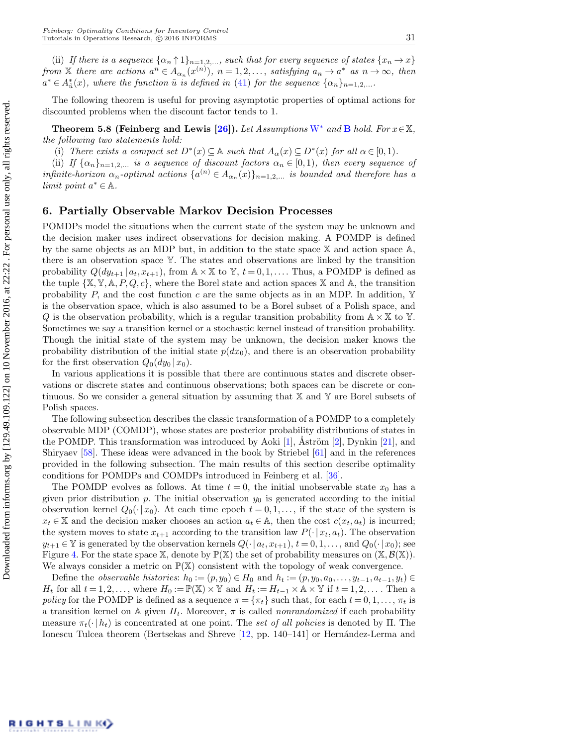(ii) If there is a sequence  $\{\alpha_n \uparrow 1\}_{n=1,2,...}$ , such that for every sequence of states  $\{x_n \to x\}$ from X there are actions  $a^n \in A_{\alpha_n}(x^{(n)})$ ,  $n = 1, 2, \ldots$ , satisfying  $a_n \to a^*$  as  $n \to \infty$ , then  $a^* \in A^*_{\tilde{u}}(x)$ , where the function  $\tilde{u}$  is defined in [\(41\)](#page-16-2) for the sequence  $\{\alpha_n\}_{n=1,2,...}$ .

The following theorem is useful for proving asymptotic properties of optimal actions for discounted problems when the discount factor tends to 1.

Theorem 5.8 (Feinberg and Lewis [\[26\]](#page-30-8)). Let Assumptions [W](#page-6-0)<sup>∗</sup> and [B](#page-7-0) hold. For  $x \in \mathbb{X}$ , the following two statements hold:

(i) There exists a compact set  $D^*(x) \subseteq \mathbb{A}$  such that  $A_\alpha(x) \subseteq D^*(x)$  for all  $\alpha \in [0,1)$ .

(ii) If  $\{\alpha_n\}_{n=1,2,\ldots}$  is a sequence of discount factors  $\alpha_n \in [0,1)$ , then every sequence of infinite-horizon  $\alpha_n$ -optimal actions  $\{a^{(n)} \in A_{\alpha_n}(x)\}_{n=1,2,...}$  is bounded and therefore has a limit point  $a^* \in \mathbb{A}$ .

## <span id="page-18-0"></span>6. Partially Observable Markov Decision Processes

POMDPs model the situations when the current state of the system may be unknown and the decision maker uses indirect observations for decision making. A POMDP is defined by the same objects as an MDP but, in addition to the state space X and action space A, there is an observation space Y. The states and observations are linked by the transition probability  $Q(dy_{t+1} | a_t, x_{t+1})$ , from  $\mathbb{A} \times \mathbb{X}$  to  $\mathbb{Y}$ ,  $t = 0, 1, \dots$ . Thus, a POMDP is defined as the tuple  $\{X, Y, A, P, Q, c\}$ , where the Borel state and action spaces X and A, the transition probability P, and the cost function c are the same objects as in an MDP. In addition,  $\mathbb{Y}$ is the observation space, which is also assumed to be a Borel subset of a Polish space, and Q is the observation probability, which is a regular transition probability from  $A \times X$  to Y. Sometimes we say a transition kernel or a stochastic kernel instead of transition probability. Though the initial state of the system may be unknown, the decision maker knows the probability distribution of the initial state  $p(dx_0)$ , and there is an observation probability for the first observation  $Q_0(dy_0 | x_0)$ .

In various applications it is possible that there are continuous states and discrete observations or discrete states and continuous observations; both spaces can be discrete or continuous. So we consider a general situation by assuming that  $X$  and  $Y$  are Borel subsets of Polish spaces.

The following subsection describes the classic transformation of a POMDP to a completely observable MDP (COMDP), whose states are posterior probability distributions of states in the POMDP. This transformation was introduced by Aoki  $[1]$ ,  $\tilde{A}$ ström  $[2]$ , Dynkin  $[21]$ , and Shiryaev [\[58\]](#page-31-19). These ideas were advanced in the book by Striebel [\[61\]](#page-31-23) and in the references provided in the following subsection. The main results of this section describe optimality conditions for POMDPs and COMDPs introduced in Feinberg et al. [\[36\]](#page-30-17).

The POMDP evolves as follows. At time  $t = 0$ , the initial unobservable state  $x_0$  has a given prior distribution p. The initial observation  $y_0$  is generated according to the initial observation kernel  $Q_0(\cdot | x_0)$ . At each time epoch  $t = 0, 1, \ldots$ , if the state of the system is  $x_t \in \mathbb{X}$  and the decision maker chooses an action  $a_t \in \mathbb{A}$ , then the cost  $c(x_t, a_t)$  is incurred; the system moves to state  $x_{t+1}$  according to the transition law  $P(\cdot | x_t, a_t)$ . The observation  $y_{t+1} \in \mathbb{Y}$  is generated by the observation kernels  $Q(\cdot | a_t, x_{t+1}), t = 0, 1, \ldots$ , and  $Q_0(\cdot | x_0)$ ; see Figure [4.](#page-19-0) For the state space X, denote by  $\mathbb{P}(\mathbb{X})$  the set of probability measures on  $(\mathbb{X},\mathcal{B}(\mathbb{X}))$ . We always consider a metric on  $\mathbb{P}(\mathbb{X})$  consistent with the topology of weak convergence.

Define the *observable histories*:  $h_0 := (p, y_0) \in H_0$  and  $h_t := (p, y_0, a_0, \ldots, y_{t-1}, a_{t-1}, y_t) \in$  $H_t$  for all  $t = 1, 2, \ldots$ , where  $H_0 := \mathbb{P}(\mathbb{X}) \times \mathbb{Y}$  and  $H_t := H_{t-1} \times \mathbb{A} \times \mathbb{Y}$  if  $t = 1, 2, \ldots$ . Then a policy for the POMDP is defined as a sequence  $\pi = {\pi_t}$  such that, for each  $t = 0, 1, \ldots, \pi_t$  is a transition kernel on A given  $H_t$ . Moreover,  $\pi$  is called *nonrandomized* if each probability measure  $\pi_t(\cdot | h_t)$  is concentrated at one point. The set of all policies is denoted by Π. The Ionescu Tulcea theorem (Bertsekas and Shreve [\[12,](#page-29-1) pp. 140–141] or Hernández-Lerma and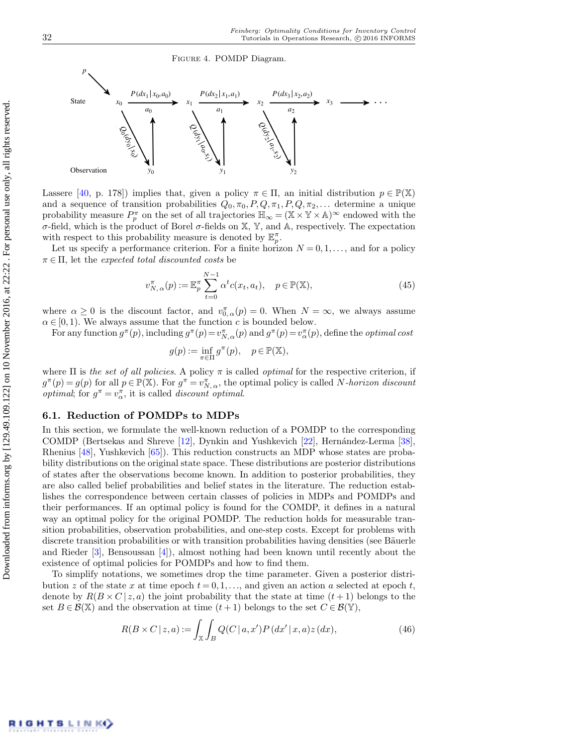<span id="page-19-0"></span>Figure 4. POMDP Diagram.



Lassere [\[40,](#page-30-5) p. 178]) implies that, given a policy  $\pi \in \Pi$ , an initial distribution  $p \in \mathbb{P}(\mathbb{X})$ and a sequence of transition probabilities  $Q_0, \pi_0, P, Q, \pi_1, P, Q, \pi_2, \ldots$  determine a unique probability measure  $P_p^{\pi}$  on the set of all trajectories  $\mathbb{H}_{\infty} = (\mathbb{X} \times \mathbb{Y} \times \mathbb{A})^{\infty}$  endowed with the σ-field, which is the product of Borel σ-fields on X, Y, and A, respectively. The expectation with respect to this probability measure is denoted by  $\mathbb{E}_p^{\pi}$ .

Let us specify a performance criterion. For a finite horizon  $N = 0, 1, \ldots$ , and for a policy  $\pi \in \Pi$ , let the expected total discounted costs be

$$
v_{N,\alpha}^{\pi}(p) := \mathbb{E}_p^{\pi} \sum_{t=0}^{N-1} \alpha^t c(x_t, a_t), \quad p \in \mathbb{P}(\mathbb{X}),
$$
\n(45)

where  $\alpha \geq 0$  is the discount factor, and  $v_{0,\alpha}^{\pi}(p) = 0$ . When  $N = \infty$ , we always assume  $\alpha \in [0, 1)$ . We always assume that the function c is bounded below.

For any function  $g^{\pi}(p)$ , including  $g^{\pi}(p) = v_{N,\alpha}^{\pi}(p)$  and  $g^{\pi}(p) = v_{\alpha}^{\pi}(p)$ , define the *optimal cost* 

$$
g(p) := \inf_{\pi \in \Pi} g^{\pi}(p), \quad p \in \mathbb{P}(\mathbb{X}),
$$

where  $\Pi$  is the set of all policies. A policy  $\pi$  is called optimal for the respective criterion, if  $g^{\pi}(p) = g(p)$  for all  $p \in \mathbb{P}(\mathbb{X})$ . For  $g^{\pi} = v^{\pi}_{N, \alpha}$ , the optimal policy is called N-horizon discount *optimal*; for  $g^{\pi} = v_{\alpha}^{\pi}$ , it is called *discount optimal*.

#### 6.1. Reduction of POMDPs to MDPs

In this section, we formulate the well-known reduction of a POMDP to the corresponding COMDP (Bertsekas and Shreve [\[12\]](#page-29-1), Dynkin and Yushkevich [\[22\]](#page-30-1), Hernández-Lerma [\[38\]](#page-30-4), Rhenius [\[48\]](#page-31-20), Yushkevich [\[65\]](#page-31-21)). This reduction constructs an MDP whose states are probability distributions on the original state space. These distributions are posterior distributions of states after the observations become known. In addition to posterior probabilities, they are also called belief probabilities and belief states in the literature. The reduction establishes the correspondence between certain classes of policies in MDPs and POMDPs and their performances. If an optimal policy is found for the COMDP, it defines in a natural way an optimal policy for the original POMDP. The reduction holds for measurable transition probabilities, observation probabilities, and one-step costs. Except for problems with discrete transition probabilities or with transition probabilities having densities (see Bäuerle and Rieder [\[3\]](#page-29-0), Bensoussan [\[4\]](#page-29-16)), almost nothing had been known until recently about the existence of optimal policies for POMDPs and how to find them.

To simplify notations, we sometimes drop the time parameter. Given a posterior distribution z of the state x at time epoch  $t = 0, 1, \ldots$ , and given an action a selected at epoch t, denote by  $R(B \times C \mid z, a)$  the joint probability that the state at time  $(t+1)$  belongs to the set  $B \in \mathcal{B}(\mathbb{X})$  and the observation at time  $(t+1)$  belongs to the set  $C \in \mathcal{B}(\mathbb{Y})$ ,

$$
R(B \times C \mid z, a) := \int_{\mathbb{X}} \int_{B} Q(C \mid a, x') P(dx' \mid x, a) z(dx), \tag{46}
$$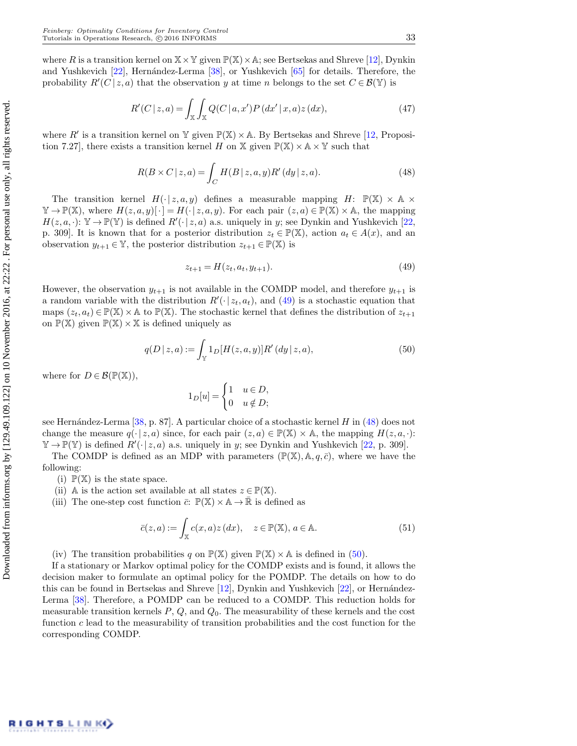where R is a transition kernel on  $X \times Y$  given  $\mathbb{P}(X) \times A$ ; see Bertsekas and Shreve [\[12\]](#page-29-1), Dynkin and Yushkevich [\[22\]](#page-30-1), Hernández-Lerma [\[38\]](#page-30-4), or Yushkevich [\[65\]](#page-31-21) for details. Therefore, the probability  $R'(C | z, a)$  that the observation y at time n belongs to the set  $C \in \mathcal{B}(\mathbb{Y})$  is

$$
R'(C|z,a) = \int_{\mathbb{X}} \int_{\mathbb{X}} Q(C|a,x')P(dx'|x,a)z(dx),
$$
\n(47)

where R' is a transition kernel on Y given  $\mathbb{P}(\mathbb{X}) \times A$ . By Bertsekas and Shreve [\[12,](#page-29-1) Proposition 7.27], there exists a transition kernel H on X given  $\mathbb{P}(\mathbb{X}) \times \mathbb{A} \times \mathbb{Y}$  such that

<span id="page-20-1"></span>
$$
R(B \times C \mid z, a) = \int_C H(B \mid z, a, y) R'(dy \mid z, a). \tag{48}
$$

The transition kernel  $H(\cdot | z, a, y)$  defines a measurable mapping  $H: \mathbb{P}(\mathbb{X}) \times \mathbb{A} \times$  $\mathbb{Y} \to \mathbb{P}(\mathbb{X}),$  where  $H(z, a, y) [\cdot] = H(\cdot | z, a, y).$  For each pair  $(z, a) \in \mathbb{P}(\mathbb{X}) \times \mathbb{A}$ , the mapping  $H(z, a, \cdot): \mathbb{Y} \to \mathbb{P}(\mathbb{Y})$  is defined  $R'(\cdot | z, a)$  a.s. uniquely in y; see Dynkin and Yushkevich [\[22,](#page-30-1) p. 309]. It is known that for a posterior distribution  $z_t \in \mathbb{P}(\mathbb{X})$ , action  $a_t \in A(x)$ , and an observation  $y_{t+1} \in \mathbb{Y}$ , the posterior distribution  $z_{t+1} \in \mathbb{P}(\mathbb{X})$  is

<span id="page-20-0"></span>
$$
z_{t+1} = H(z_t, a_t, y_{t+1}).
$$
\n(49)

However, the observation  $y_{t+1}$  is not available in the COMDP model, and therefore  $y_{t+1}$  is a random variable with the distribution  $R'(\cdot | z_t, a_t)$ , and [\(49\)](#page-20-0) is a stochastic equation that maps  $(z_t, a_t) \in \mathbb{P}(\mathbb{X}) \times \mathbb{A}$  to  $\mathbb{P}(\mathbb{X})$ . The stochastic kernel that defines the distribution of  $z_{t+1}$ on  $\mathbb{P}(\mathbb{X})$  given  $\mathbb{P}(\mathbb{X}) \times \mathbb{X}$  is defined uniquely as

<span id="page-20-2"></span>
$$
q(D \mid z, a) := \int_{\mathbb{Y}} 1_D[H(z, a, y)] R'(dy \mid z, a), \tag{50}
$$

where for  $D \in \mathcal{B}(\mathbb{P}(\mathbb{X})),$ 

$$
1_D[u] = \begin{cases} 1 & u \in D, \\ 0 & u \notin D; \end{cases}
$$

see Hernández-Lerma  $[38, p. 87]$  $[38, p. 87]$ . A particular choice of a stochastic kernel H in  $(48)$  does not change the measure  $q(\cdot | z, a)$  since, for each pair  $(z, a) \in \mathbb{P}(\mathbb{X}) \times \mathbb{A}$ , the mapping  $H(z, a, \cdot)$ :  $\mathbb{Y} \to \mathbb{P}(\mathbb{Y})$  is defined  $R'(\cdot | z, a)$  a.s. uniquely in y; see Dynkin and Yushkevich [\[22,](#page-30-1) p. 309].

The COMDP is defined as an MDP with parameters  $(\mathbb{P}(\mathbb{X}), \mathbb{A}, q, \bar{c})$ , where we have the following:

(i)  $\mathbb{P}(\mathbb{X})$  is the state space.

- (ii) A is the action set available at all states  $z \in \mathbb{P}(\mathbb{X})$ .
- (iii) The one-step cost function  $\bar{c}: \mathbb{P}(\mathbb{X}) \times \mathbb{A} \to \mathbb{R}$  is defined as

<span id="page-20-3"></span>
$$
\bar{c}(z,a) := \int_{\mathbb{X}} c(x,a)z(dx), \quad z \in \mathbb{P}(\mathbb{X}), a \in \mathbb{A}.
$$
 (51)

(iv) The transition probabilities q on  $\mathbb{P}(\mathbb{X})$  given  $\mathbb{P}(\mathbb{X}) \times \mathbb{A}$  is defined in [\(50\)](#page-20-2).

If a stationary or Markov optimal policy for the COMDP exists and is found, it allows the decision maker to formulate an optimal policy for the POMDP. The details on how to do this can be found in Bertsekas and Shreve  $[12]$ , Dynkin and Yushkevich  $[22]$ , or Hernández-Lerma [\[38\]](#page-30-4). Therefore, a POMDP can be reduced to a COMDP. This reduction holds for measurable transition kernels  $P, Q$ , and  $Q_0$ . The measurability of these kernels and the cost function  $c$  lead to the measurability of transition probabilities and the cost function for the corresponding COMDP.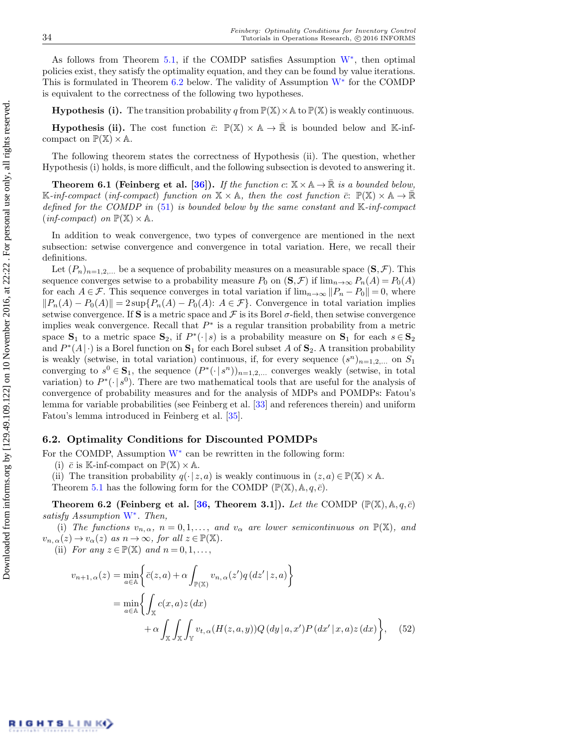As follows from Theorem [5.1,](#page-14-0) if the COMDP satisfies Assumption  $W^*$  $W^*$ , then optimal policies exist, they satisfy the optimality equation, and they can be found by value iterations. This is formulated in Theorem  $6.2$  below. The validity of Assumption  $W^*$  $W^*$  for the COMDP is equivalent to the correctness of the following two hypotheses.

**Hypothesis (i).** The transition probability q from  $\mathbb{P}(\mathbb{X}) \times \mathbb{A}$  to  $\mathbb{P}(\mathbb{X})$  is weakly continuous.

**Hypothesis (ii).** The cost function  $\bar{c}: \mathbb{P}(\mathbb{X}) \times \mathbb{A} \to \mathbb{R}$  is bounded below and K-infcompact on  $\mathbb{P}(\mathbb{X}) \times \mathbb{A}$ .

The following theorem states the correctness of Hypothesis (ii). The question, whether Hypothesis (i) holds, is more difficult, and the following subsection is devoted to answering it.

<span id="page-21-1"></span>**Theorem 6.1 (Feinberg et al. [\[36\]](#page-30-17)).** If the function  $c: \mathbb{X} \times \mathbb{A} \to \mathbb{R}$  is a bounded below, K-inf-compact (inf-compact) function on  $X \times A$ , then the cost function  $\bar{c}$ :  $\mathbb{P}(\mathbb{X}) \times A \to \mathbb{R}$ defined for the COMDP in  $(51)$  is bounded below by the same constant and  $\mathbb{K}\text{-}in\text{f-compact}$  $(inf\text{-}compact)$  on  $\mathbb{P}(\mathbb{X})\times\mathbb{A}$ .

In addition to weak convergence, two types of convergence are mentioned in the next subsection: setwise convergence and convergence in total variation. Here, we recall their definitions.

Let  $(P_n)_{n=1,2,...}$  be a sequence of probability measures on a measurable space  $(\mathbf{S}, \mathcal{F})$ . This sequence converges setwise to a probability measure  $P_0$  on  $(\mathbf{S}, \mathcal{F})$  if  $\lim_{n\to\infty} P_n(A) = P_0(A)$ for each  $A \in \mathcal{F}$ . This sequence converges in total variation if  $\lim_{n\to\infty}||P_n - P_0|| = 0$ , where  $||P_n(A) - P_0(A)|| = 2 \sup\{P_n(A) - P_0(A): A \in \mathcal{F}\}\.$  Convergence in total variation implies setwise convergence. If S is a metric space and  $\mathcal F$  is its Borel  $\sigma$ -field, then setwise convergence implies weak convergence. Recall that  $P^*$  is a regular transition probability from a metric space  $S_1$  to a metric space  $S_2$ , if  $P^*(\cdot | s)$  is a probability measure on  $S_1$  for each  $s \in S_2$ and  $P^*(A|\cdot)$  is a Borel function on  $\mathbf{S}_1$  for each Borel subset A of  $\mathbf{S}_2$ . A transition probability is weakly (setwise, in total variation) continuous, if, for every sequence  $(s^n)_{n=1,2,...}$  on  $S_1$ converging to  $s^0 \in \mathbf{S}_1$ , the sequence  $(P^*(\cdot | s^n))_{n=1,2,...}$  converges weakly (setwise, in total variation) to  $P^*(\cdot | s^0)$ . There are two mathematical tools that are useful for the analysis of convergence of probability measures and for the analysis of MDPs and POMDPs: Fatou's lemma for variable probabilities (see Feinberg et al. [\[33\]](#page-30-18) and references therein) and uniform Fatou's lemma introduced in Feinberg et al. [\[35\]](#page-30-19).

#### 6.2. Optimality Conditions for Discounted POMDPs

For the COMDP, Assumption  $W^*$  $W^*$  can be rewritten in the following form:

(i)  $\bar{c}$  is K-inf-compact on  $\mathbb{P}(\mathbb{X}) \times \mathbb{A}$ .

(ii) The transition probability  $q(\cdot | z, a)$  is weakly continuous in  $(z, a) \in \mathbb{P}(\mathbb{X}) \times \mathbb{A}$ .

Theorem [5.1](#page-14-0) has the following form for the COMDP  $(\mathbb{P}(\mathbb{X}), \mathbb{A}, q, \bar{c})$ .

<span id="page-21-0"></span>Theorem 6.2 (Feinberg et al. [\[36,](#page-30-17) Theorem 3.1]). Let the COMDP  $(\mathbb{P}(\mathbb{X}), \mathbb{A}, q, \bar{c})$ satisfy Assumption [W](#page-6-0)<sup>\*</sup>. Then,

<span id="page-21-2"></span>(i) The functions  $v_{n,\alpha}$ ,  $n = 0,1,...$ , and  $v_{\alpha}$  are lower semicontinuous on  $\mathbb{P}(\mathbb{X})$ , and  $v_{n,\alpha}(z) \to v_{\alpha}(z)$  as  $n \to \infty$ , for all  $z \in \mathbb{P}(\mathbb{X})$ .

(ii) For any  $z \in \mathbb{P}(\mathbb{X})$  and  $n = 0, 1, \ldots$ ,

$$
v_{n+1,\alpha}(z) = \min_{a \in \mathbb{A}} \left\{ \bar{c}(z,a) + \alpha \int_{\mathbb{P}(\mathbb{X})} v_{n,\alpha}(z') q(dz' | z, a) \right\}
$$
  
= 
$$
\min_{a \in \mathbb{A}} \left\{ \int_{\mathbb{X}} c(x,a) z(dx) + \alpha \int_{\mathbb{X}} \int_{\mathbb{X}} v_{t,\alpha}(H(z,a,y)) Q(dy | a, x') P(dx' | x, a) z(dx) \right\}, \quad (52)
$$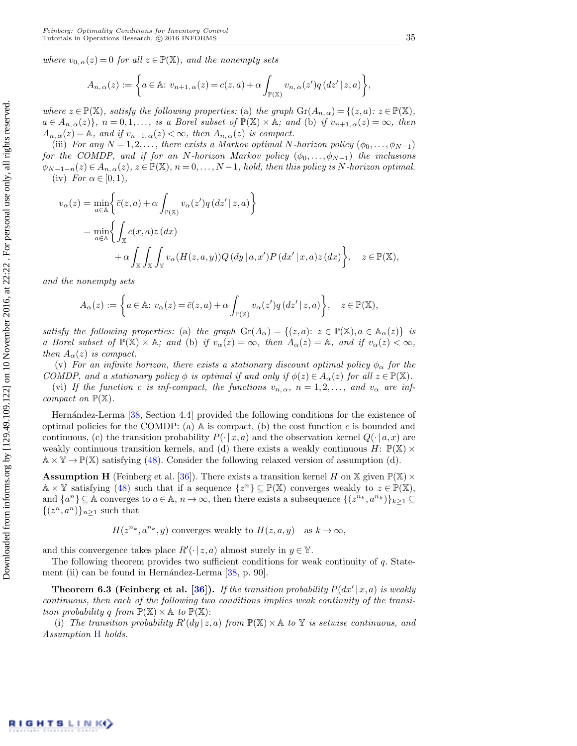where  $v_{0,\alpha}(z) = 0$  for all  $z \in \mathbb{P}(\mathbb{X})$ , and the nonempty sets

$$
A_{n,\alpha}(z) := \left\{ a \in \mathbb{A}: v_{n+1,\alpha}(z) = c(z,a) + \alpha \int_{\mathbb{P}(\mathbb{X})} v_{n,\alpha}(z') q(dz' | z, a) \right\},\,
$$

where  $z \in \mathbb{P}(\mathbb{X})$ , satisfy the following properties: (a) the graph  $\text{Gr}(A_{n,\alpha}) = \{(z,a): z \in \mathbb{P}(\mathbb{X}),\}$  $a \in A_{n,\alpha}(z)$ ,  $n = 0,1,...$ , is a Borel subset of  $\mathbb{P}(\mathbb{X}) \times \mathbb{A}$ ; and (b) if  $v_{n+1,\alpha}(z) = \infty$ , then  $A_{n,\alpha}(z) = A$ , and if  $v_{n+1,\alpha}(z) < \infty$ , then  $A_{n,\alpha}(z)$  is compact.

(iii) For any  $N = 1, 2, \ldots$ , there exists a Markov optimal N-horizon policy  $(\phi_0, \ldots, \phi_{N-1})$ for the COMDP, and if for an N-horizon Markov policy  $(\phi_0, \ldots, \phi_{N-1})$  the inclusions  $\phi_{N-1-n}(z) \in A_{n,\alpha}(z), z \in \mathbb{P}(\mathbb{X}), n = 0, \ldots, N-1$ , hold, then this policy is N-horizon optimal. (iv) For  $\alpha \in [0,1)$ ,

<span id="page-22-3"></span>
$$
v_{\alpha}(z) = \min_{a \in \mathbb{A}} \left\{ \overline{c}(z, a) + \alpha \int_{\mathbb{P}(\mathbb{X})} v_{\alpha}(z') q(dz' | z, a) \right\}
$$
  
= 
$$
\min_{a \in \mathbb{A}} \left\{ \int_{\mathbb{X}} c(x, a) z(dx) + \alpha \int_{\mathbb{X}} \int_{\mathbb{Y}} v_{\alpha}(H(z, a, y)) Q(dy | a, x') P(dx' | x, a) z(dx) \right\}, \quad z \in \mathbb{P}(\mathbb{X}),
$$

and the nonempty sets

$$
A_{\alpha}(z) := \left\{ a \in \mathbb{A}: v_{\alpha}(z) = \overline{c}(z, a) + \alpha \int_{\mathbb{P}(\mathbb{X})} v_{\alpha}(z') q(dz' | z, a) \right\}, \quad z \in \mathbb{P}(\mathbb{X}),
$$

satisfy the following properties: (a) the graph  $\text{Gr}(A_\alpha) = \{(z, a): z \in \mathbb{P}(\mathbb{X}), a \in \mathbb{A}_\alpha(z)\}\$ is a Borel subset of  $\mathbb{P}(\mathbb{X}) \times \mathbb{A}$ ; and (b) if  $v_{\alpha}(z) = \infty$ , then  $A_{\alpha}(z) = \mathbb{A}$ , and if  $v_{\alpha}(z) < \infty$ , then  $A_{\alpha}(z)$  is compact.

(v) For an infinite horizon, there exists a stationary discount optimal policy  $\phi_{\alpha}$  for the COMDP, and a stationary policy  $\phi$  is optimal if and only if  $\phi(z) \in A_{\alpha}(z)$  for all  $z \in \mathbb{P}(\mathbb{X})$ .

<span id="page-22-2"></span>(vi) If the function c is inf-compact, the functions  $v_{n,\alpha}$ ,  $n = 1, 2, \ldots$ , and  $v_{\alpha}$  are infcompact on  $\mathbb{P}(\mathbb{X})$ .

Hernández-Lerma [\[38,](#page-30-4) Section 4.4] provided the following conditions for the existence of optimal policies for the COMDP: (a)  $\mathbb A$  is compact, (b) the cost function c is bounded and continuous, (c) the transition probability  $P(\cdot | x, a)$  and the observation kernel  $Q(\cdot | a, x)$  are weakly continuous transition kernels, and (d) there exists a weakly continuous  $H: \mathbb{P}(\mathbb{X}) \times$  $\mathbb{A} \times \mathbb{Y} \to \mathbb{P}(\mathbb{X})$  satisfying [\(48\)](#page-20-1). Consider the following relaxed version of assumption (d).

**Assumption H** (Feinberg et al. [\[36\]](#page-30-17)). There exists a transition kernel H on X given  $\mathbb{P}(\mathbb{X}) \times$  $\mathbb{A} \times \mathbb{Y}$  satisfying [\(48\)](#page-20-1) such that if a sequence  $\{z^n\} \subseteq \mathbb{P}(\mathbb{X})$  converges weakly to  $z \in \mathbb{P}(\mathbb{X})$ , and  $\{a^n\}\subseteq \mathbb{A}$  converges to  $a\in \mathbb{A}$ ,  $n\to\infty$ , then there exists a subsequence  $\{(z^{n_k}, a^{n_k})\}_{k\geq 1}\subseteq$  $\{(z^n, a^n)\}_{n\geq 1}$  such that

<span id="page-22-0"></span>
$$
H(z^{n_k}, a^{n_k}, y)
$$
 converges weakly to  $H(z, a, y)$  as  $k \to \infty$ ,

and this convergence takes place  $R'(\cdot | z, a)$  almost surely in  $y \in \mathbb{Y}$ .

The following theorem provides two sufficient conditions for weak continuity of  $q$ . Statement (ii) can be found in Hernández-Lerma  $[38, p. 90]$  $[38, p. 90]$ .

<span id="page-22-1"></span>**Theorem 6.3 (Feinberg et al. [\[36\]](#page-30-17)).** If the transition probability  $P(dx'|x, a)$  is weakly continuous, then each of the following two conditions implies weak continuity of the transition probability q from  $\mathbb{P}(\mathbb{X}) \times \mathbb{A}$  to  $\mathbb{P}(\mathbb{X})$ :

(i) The transition probability  $R'(dy | z, a)$  from  $\mathbb{P}(\mathbb{X}) \times A$  to Y is setwise continuous, and Assumption [H](#page-22-0) holds.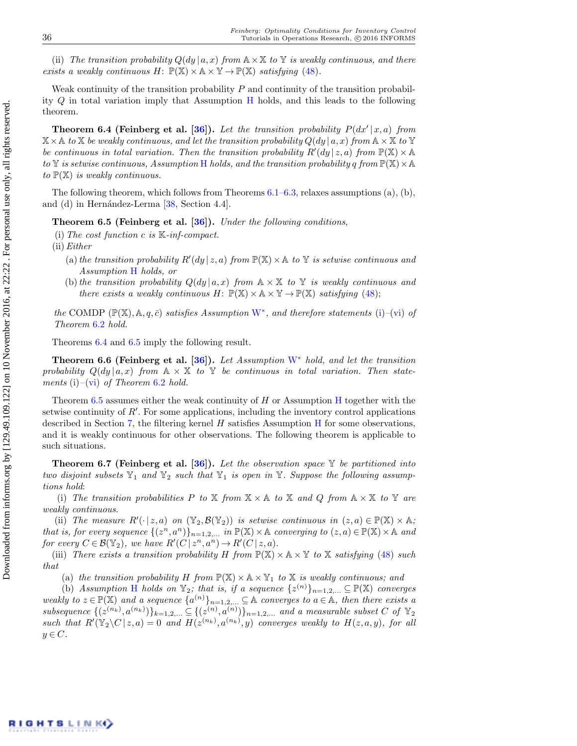(ii) The transition probability  $Q(dy | a, x)$  from  $A \times X$  to Y is weakly continuous, and there exists a weakly continuous  $H: \mathbb{P}(\mathbb{X}) \times \mathbb{A} \times \mathbb{Y} \to \mathbb{P}(\mathbb{X})$  satisfying [\(48\)](#page-20-1).

Weak continuity of the transition probability  $P$  and continuity of the transition probability Q in total variation imply that Assumption [H](#page-22-0) holds, and this leads to the following theorem.

<span id="page-23-0"></span>**Theorem 6.4 (Feinberg et al. [\[36\]](#page-30-17)).** Let the transition probability  $P(dx'|x, a)$  from  $\mathbb{X}\times\mathbb{A}$  to  $\mathbb{X}$  be weakly continuous, and let the transition probability  $Q(dy | a, x)$  from  $\mathbb{A}\times\mathbb{X}$  to  $\mathbb{Y}$ be continuous in total variation. Then the transition probability  $R'(dy | z, a)$  from  $\mathbb{P}(\mathbb{X}) \times \mathbb{A}$ to  $\mathbb Y$  is setwise continuous, Assumption [H](#page-22-0) holds, and the transition probability q from  $\mathbb P(\mathbb X)\times\mathbb A$ to  $\mathbb{P}(\mathbb{X})$  is weakly continuous.

The following theorem, which follows from Theorems  $6.1-6.3$  $6.1-6.3$ , relaxes assumptions  $(a)$ ,  $(b)$ , and (d) in Hernández-Lerma  $[38, Section 4.4]$  $[38, Section 4.4]$ .

<span id="page-23-1"></span>**Theorem 6.5 (Feinberg et al. [\[36\]](#page-30-17)).** Under the following conditions,

(i) The cost function c is  $K$ -inf-compact.

 $(ii) Either$ 

- (a) the transition probability  $R'(dy | z, a)$  from  $\mathbb{P}(\mathbb{X}) \times A$  to Y is setwise continuous and Assumption [H](#page-22-0) holds, or
- (b) the transition probability  $Q(dy | a, x)$  from  $A \times X$  to Y is weakly continuous and there exists a weakly continuous H:  $\mathbb{P}(\mathbb{X}) \times \mathbb{A} \times \mathbb{Y} \to \mathbb{P}(\mathbb{X})$  satisfying [\(48\)](#page-20-1);

the COMDP  $(\mathbb{P}(\mathbb{X}), \mathbb{A}, q, \bar{c})$  satisfies Assumption  $W^*$  $W^*$ , and therefore statements [\(i\)](#page-21-2)–[\(vi\)](#page-22-2) of Theorem [6](#page-21-0).2 hold.

Theorems [6.4](#page-23-0) and [6.5](#page-23-1) imply the following result.

Theorem 6.6 (Feinberg et al. [\[36\]](#page-30-17)). Let Assumption  $W^*$  $W^*$  hold, and let the transition probability  $Q(dy | a, x)$  from  $A \times X$  to Y be continuous in total variation. Then state-ments [\(i\)](#page-21-2)–[\(vi\)](#page-22-2) of Theorem [6](#page-21-0).2 hold.

Theorem  $6.5$  assumes either the weak continuity of [H](#page-22-0) or Assumption H together with the setwise continuity of  $R'$ . For some applications, including the inventory control applications described in Section [7,](#page-24-0) the filtering kernel  $H$  satisfies Assumption  $H$  for some observations, and it is weakly continuous for other observations. The following theorem is applicable to such situations.

<span id="page-23-2"></span>**Theorem 6.7 (Feinberg et al. [\[36\]](#page-30-17)).** Let the observation space  $\mathbb{Y}$  be partitioned into two disjoint subsets  $\mathbb{Y}_1$  and  $\mathbb{Y}_2$  such that  $\mathbb{Y}_1$  is open in  $\mathbb{Y}$ . Suppose the following assumptions hold:

(i) The transition probabilities P to X from  $X \times A$  to X and Q from  $A \times X$  to Y are weakly continuous.

(ii) The measure  $R'(\cdot | z, a)$  on  $(\mathbb{Y}_2, \mathcal{B}(\mathbb{Y}_2))$  is setwise continuous in  $(z, a) \in \mathbb{P}(\mathbb{X}) \times \mathbb{A}$ ; that is, for every sequence  $\{(z^n, a^n)\}_{n=1,2,...}$  in  $\mathbb{P}(\mathbb{X}) \times \mathbb{A}$  converging to  $(z, a) \in \mathbb{P}(\mathbb{X}) \times \mathbb{A}$  and for every  $C \in \mathcal{B}(\mathbb{Y}_2)$ , we have  $R'(C \mid z^n, a^n) \to R'(C \mid z, a)$ .

<span id="page-23-3"></span>(iii) There exists a transition probability H from  $\mathbb{P}(\mathbb{X}) \times \mathbb{A} \times \mathbb{Y}$  to X satisfying [\(48\)](#page-20-1) such that

<span id="page-23-4"></span>(a) the transition probability H from  $\mathbb{P}(\mathbb{X}) \times \mathbb{A} \times \mathbb{Y}_1$  to X is weakly continuous; and

(b) Assumption [H](#page-22-0) holds on  $\mathbb{Y}_2$ ; that is, if a sequence  $\{z^{(n)}\}_{n=1,2,...} \subseteq \mathbb{P}(\mathbb{X})$  converges weakly to  $z \in \mathbb{P}(\mathbb{X})$  and a sequence  $\{a^{(n)}\}_{n=1,2,...} \subseteq \mathbb{A}$  converges to  $a \in \mathbb{A}$ , then there exists a subsequence  $\{(z^{(n_k)}, a^{(n_k)})\}_{k=1,2,\ldots} \subseteq \{(z^{(n)}, a^{(n)})\}_{n=1,2,\ldots}$  and a measurable subset C of  $\mathbb{Y}_2$ such that  $R'(\mathbb{Y}_2 \setminus C | z, a) = 0$  and  $H(z^{(n_k)}, a^{(n_k)}, y)$  converges weakly to  $H(z, a, y)$ , for all  $y \in C$ .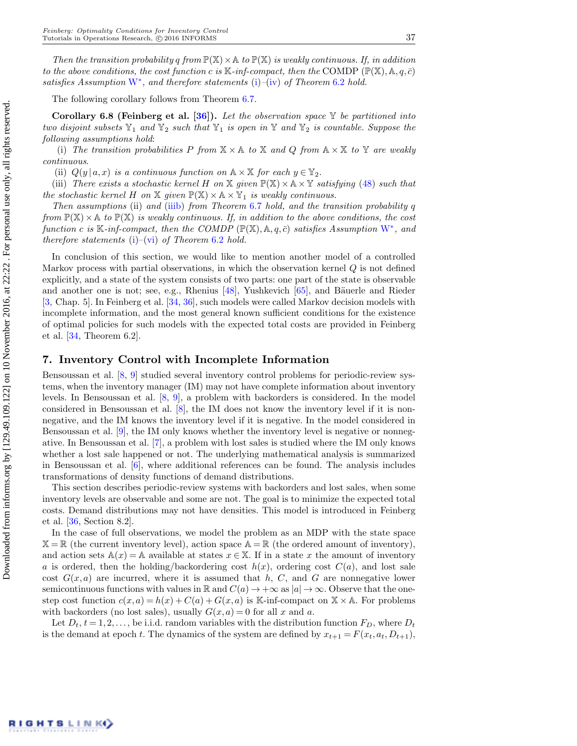Then the transition probability q from  $\mathbb{P}(\mathbb{X}) \times \mathbb{A}$  to  $\mathbb{P}(\mathbb{X})$  is weakly continuous. If, in addition to the above conditions, the cost function c is  $\mathbb{K}\text{-}inf\text{-}compact$ , then the COMDP  $(\mathbb{P}(\mathbb{X}), \mathbb{A}, q, \bar{c})$ satisfies Assumption  $W^*$  $W^*$ , and therefore statements [\(i\)](#page-21-2)–[\(iv\)](#page-22-3) of Theorem [6](#page-21-0).2 hold.

The following corollary follows from Theorem [6.7.](#page-23-2)

<span id="page-24-1"></span>Corollary 6.8 (Feinberg et al. [\[36\]](#page-30-17)). Let the observation space  $\mathbb Y$  be partitioned into two disjoint subsets  $\mathbb{Y}_1$  and  $\mathbb{Y}_2$  such that  $\mathbb{Y}_1$  is open in  $\mathbb{Y}$  and  $\mathbb{Y}_2$  is countable. Suppose the following assumptions hold:

(i) The transition probabilities P from  $X \times A$  to X and Q from  $A \times X$  to Y are weakly continuous.

(ii)  $Q(y | a, x)$  is a continuous function on  $\mathbb{A} \times \mathbb{X}$  for each  $y \in \mathbb{Y}_2$ .

(iii) There exists a stochastic kernel H on X given  $\mathbb{P}(\mathbb{X}) \times \mathbb{A} \times \mathbb{Y}$  satisfying [\(48\)](#page-20-1) such that the stochastic kernel H on X given  $\mathbb{P}(\mathbb{X}) \times \mathbb{A} \times \mathbb{Y}_1$  is weakly continuous.

Then assumptions (ii) and [\(iii](#page-23-3)[b\)](#page-23-4) from Theorem [6](#page-23-2).7 hold, and the transition probability  $q$ from  $\mathbb{P}(\mathbb{X})\times\mathbb{A}$  to  $\mathbb{P}(\mathbb{X})$  is weakly continuous. If, in addition to the above conditions, the cost function c is K-inf-compact, then the COMDP ( $\mathbb{P}(\mathbb{X}), \mathbb{A}, q, \bar{c}$ ) satisfies Assumption [W](#page-6-0)<sup>\*</sup>, and therefore statements [\(i\)](#page-21-2)–[\(vi\)](#page-22-2) of Theorem [6](#page-21-0).2 hold.

In conclusion of this section, we would like to mention another model of a controlled Markov process with partial observations, in which the observation kernel  $Q$  is not defined explicitly, and a state of the system consists of two parts: one part of the state is observable and another one is not; see, e.g., Rhenius  $[48]$ , Yushkevich  $[65]$ , and Bäuerle and Rieder [\[3,](#page-29-0) Chap. 5]. In Feinberg et al. [\[34,](#page-30-20) [36\]](#page-30-17), such models were called Markov decision models with incomplete information, and the most general known sufficient conditions for the existence of optimal policies for such models with the expected total costs are provided in Feinberg et al.  $|34$ , Theorem 6.2.

#### <span id="page-24-0"></span>7. Inventory Control with Incomplete Information

Bensoussan et al. [\[8,](#page-29-11) [9\]](#page-29-12) studied several inventory control problems for periodic-review systems, when the inventory manager (IM) may not have complete information about inventory levels. In Bensoussan et al. [\[8,](#page-29-11) [9\]](#page-29-12), a problem with backorders is considered. In the model considered in Bensoussan et al.  $[8]$ , the IM does not know the inventory level if it is nonnegative, and the IM knows the inventory level if it is negative. In the model considered in Bensoussan et al. [\[9\]](#page-29-12), the IM only knows whether the inventory level is negative or nonnegative. In Bensoussan et al. [\[7\]](#page-29-10), a problem with lost sales is studied where the IM only knows whether a lost sale happened or not. The underlying mathematical analysis is summarized in Bensoussan et al.  $[6]$ , where additional references can be found. The analysis includes transformations of density functions of demand distributions.

This section describes periodic-review systems with backorders and lost sales, when some inventory levels are observable and some are not. The goal is to minimize the expected total costs. Demand distributions may not have densities. This model is introduced in Feinberg et al. [\[36,](#page-30-17) Section 8.2].

In the case of full observations, we model the problem as an MDP with the state space  $\mathbb{X} = \mathbb{R}$  (the current inventory level), action space  $\mathbb{A} = \mathbb{R}$  (the ordered amount of inventory), and action sets  $\mathbb{A}(x) = \mathbb{A}$  available at states  $x \in \mathbb{X}$ . If in a state x the amount of inventory a is ordered, then the holding/backordering cost  $h(x)$ , ordering cost  $C(a)$ , and lost sale cost  $G(x, a)$  are incurred, where it is assumed that h, C, and G are nonnegative lower semicontinuous functions with values in R and  $C(a) \to +\infty$  as  $|a| \to \infty$ . Observe that the onestep cost function  $c(x, a) = h(x) + C(a) + G(x, a)$  is K-inf-compact on  $X \times A$ . For problems with backorders (no lost sales), usually  $G(x, a) = 0$  for all x and a.

Let  $D_t$ ,  $t = 1, 2, \ldots$ , be i.i.d. random variables with the distribution function  $F_D$ , where  $D_t$ is the demand at epoch t. The dynamics of the system are defined by  $x_{t+1} = F(x_t, a_t, D_{t+1}),$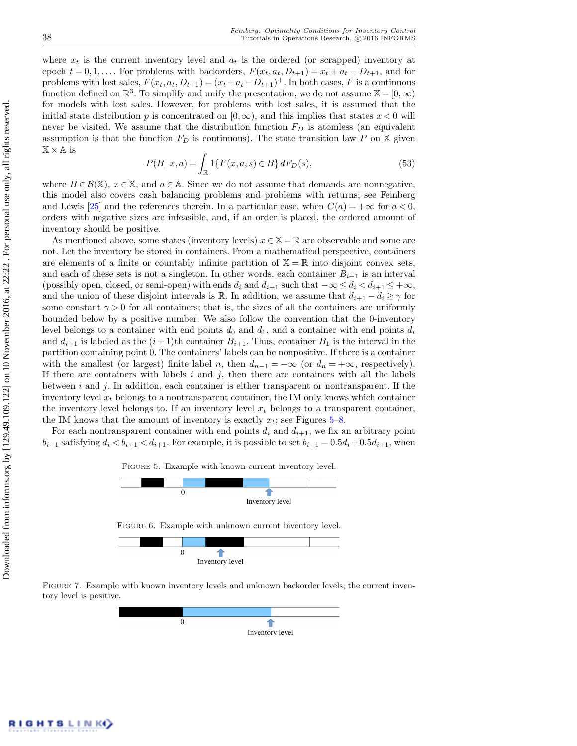where  $x_t$  is the current inventory level and  $a_t$  is the ordered (or scrapped) inventory at epoch  $t = 0, 1, \ldots$  For problems with backorders,  $F(x_t, a_t, D_{t+1}) = x_t + a_t - D_{t+1}$ , and for problems with lost sales,  $F(x_t, a_t, D_{t+1}) = (x_t + a_t - D_{t+1})^+$ . In both cases, F is a continuous function defined on  $\mathbb{R}^3$ . To simplify and unify the presentation, we do not assume  $\mathbb{X} = [0, \infty)$ for models with lost sales. However, for problems with lost sales, it is assumed that the initial state distribution p is concentrated on  $[0, \infty)$ , and this implies that states  $x < 0$  will never be visited. We assume that the distribution function  $F<sub>D</sub>$  is atomless (an equivalent assumption is that the function  $F_D$  is continuous). The state transition law P on X given  $X \times A$  is

<span id="page-25-1"></span>
$$
P(B \mid x, a) = \int_{\mathbb{R}} 1\{F(x, a, s) \in B\} dF_D(s),\tag{53}
$$

where  $B \in \mathcal{B}(\mathbb{X})$ ,  $x \in \mathbb{X}$ , and  $a \in \mathbb{A}$ . Since we do not assume that demands are nonnegative, this model also covers cash balancing problems and problems with returns; see Feinberg and Lewis [\[25\]](#page-30-11) and the references therein. In a particular case, when  $C(a) = +\infty$  for  $a < 0$ , orders with negative sizes are infeasible, and, if an order is placed, the ordered amount of inventory should be positive.

As mentioned above, some states (inventory levels)  $x \in \mathbb{X} = \mathbb{R}$  are observable and some are not. Let the inventory be stored in containers. From a mathematical perspective, containers are elements of a finite or countably infinite partition of  $\mathbb{X} = \mathbb{R}$  into disjoint convex sets, and each of these sets is not a singleton. In other words, each container  $B_{i+1}$  is an interval (possibly open, closed, or semi-open) with ends  $d_i$  and  $d_{i+1}$  such that  $-\infty \leq d_i < d_{i+1} \leq +\infty$ , and the union of these disjoint intervals is R. In addition, we assume that  $d_{i+1} - d_i \geq \gamma$  for some constant  $\gamma > 0$  for all containers; that is, the sizes of all the containers are uniformly bounded below by a positive number. We also follow the convention that the 0-inventory level belongs to a container with end points  $d_0$  and  $d_1$ , and a container with end points  $d_i$ and  $d_{i+1}$  is labeled as the  $(i+1)$ th container  $B_{i+1}$ . Thus, container  $B_1$  is the interval in the partition containing point 0. The containers' labels can be nonpositive. If there is a container with the smallest (or largest) finite label n, then  $d_{n-1} = -\infty$  (or  $d_n = +\infty$ , respectively). If there are containers with labels  $i$  and  $j$ , then there are containers with all the labels between i and j. In addition, each container is either transparent or nontransparent. If the inventory level  $x_t$  belongs to a nontransparent container, the IM only knows which container the inventory level belongs to. If an inventory level  $x_t$  belongs to a transparent container, the IM knows that the amount of inventory is exactly  $x_t$ ; see Figures [5–](#page-25-0)[8.](#page-26-0)

For each nontransparent container with end points  $d_i$  and  $d_{i+1}$ , we fix an arbitrary point  $b_{i+1}$  satisfying  $d_i < b_{i+1} < d_{i+1}$ . For example, it is possible to set  $b_{i+1} = 0.5d_i + 0.5d_{i+1}$ , when

<span id="page-25-0"></span>

Figure 7. Example with known inventory levels and unknown backorder levels; the current inventory level is positive.

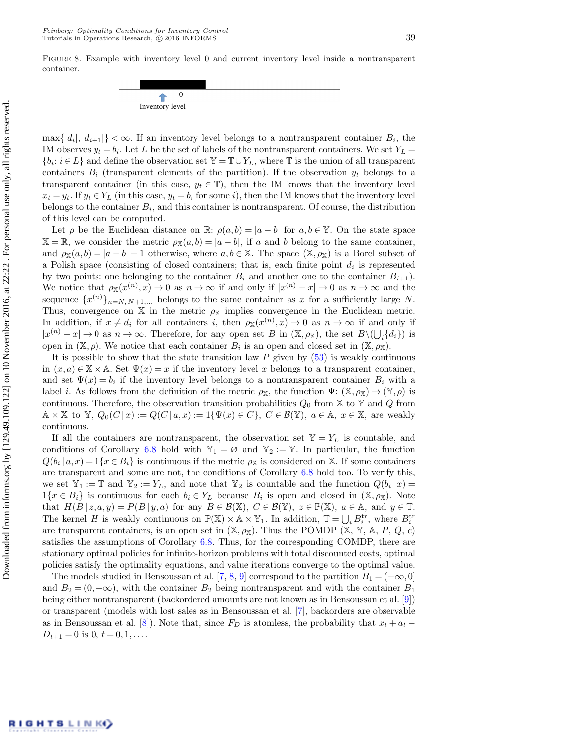<span id="page-26-0"></span>

 $\max\{|d_i|, |d_{i+1}|\} < \infty$ . If an inventory level belongs to a nontransparent container  $B_i$ , the IM observes  $y_t = b_i$ . Let L be the set of labels of the nontransparent containers. We set  $Y_L$  =  ${b_i : i \in L}$  and define the observation set  $\mathbb{Y} = \mathbb{T} \cup Y_L$ , where  $\mathbb{T}$  is the union of all transparent containers  $B_i$  (transparent elements of the partition). If the observation  $y_t$  belongs to a transparent container (in this case,  $y_t \in \mathbb{T}$ ), then the IM knows that the inventory level  $x_t = y_t$ . If  $y_t \in Y_L$  (in this case,  $y_t = b_i$  for some i), then the IM knows that the inventory level belongs to the container  $B_i$ , and this container is nontransparent. Of course, the distribution of this level can be computed.

Let  $\rho$  be the Euclidean distance on R:  $\rho(a, b) = |a - b|$  for  $a, b \in \mathbb{Y}$ . On the state space  $\mathbb{X} = \mathbb{R}$ , we consider the metric  $\rho_{\mathbb{X}}(a, b) = |a - b|$ , if a and b belong to the same container, and  $\rho_{\mathbb{X}}(a, b) = |a - b| + 1$  otherwise, where  $a, b \in \mathbb{X}$ . The space  $(\mathbb{X}, \rho_{\mathbb{X}})$  is a Borel subset of a Polish space (consisting of closed containers; that is, each finite point  $d_i$  is represented by two points: one belonging to the container  $B_i$  and another one to the container  $B_{i+1}$ . We notice that  $\rho_{\mathbb{X}}(x^{(n)}, x) \to 0$  as  $n \to \infty$  if and only if  $|x^{(n)} - x| \to 0$  as  $n \to \infty$  and the sequence  $\{x^{(n)}\}_{n=N, N+1,...}$  belongs to the same container as x for a sufficiently large N. Thus, convergence on X in the metric  $\rho_{\rm X}$  implies convergence in the Euclidean metric. In addition, if  $x \neq d_i$  for all containers i, then  $\rho_{\mathbb{X}}(x^{(n)}, x) \to 0$  as  $n \to \infty$  if and only if  $|x^{(n)}-x|\to 0$  as  $n\to\infty$ . Therefore, for any open set B in  $(\mathbb{X},\rho_{\mathbb{X}})$ , the set  $B\setminus(\bigcup_i\{d_i\})$  is open in  $(X, \rho)$ . We notice that each container  $B_i$  is an open and closed set in  $(X, \rho_X)$ .

It is possible to show that the state transition law  $P$  given by  $(53)$  is weakly continuous in  $(x, a) \in \mathbb{X} \times \mathbb{A}$ . Set  $\Psi(x) = x$  if the inventory level x belongs to a transparent container, and set  $\Psi(x) = b_i$  if the inventory level belongs to a nontransparent container  $B_i$  with a label *i*. As follows from the definition of the metric  $\rho_{\mathbb{X}}$ , the function  $\Psi: (\mathbb{X}, \rho_{\mathbb{X}}) \to (\mathbb{Y}, \rho)$  is continuous. Therefore, the observation transition probabilities  $Q_0$  from  $\mathbb X$  to  $\mathbb Y$  and  $Q$  from  $\mathbb{A} \times \mathbb{X}$  to  $\mathbb{Y}, Q_0(C | x) := Q(C | a, x) := \{ \Psi(x) \in C \}, C \in \mathcal{B}(\mathbb{Y}), a \in \mathbb{A}, x \in \mathbb{X}$ , are weakly continuous.

If all the containers are nontransparent, the observation set  $\mathbb{Y} = Y_L$  is countable, and conditions of Corollary [6.8](#page-24-1) hold with  $\mathbb{Y}_1 = \emptyset$  and  $\mathbb{Y}_2 := \mathbb{Y}$ . In particular, the function  $Q(b_i | a, x) = 1\{x \in B_i\}$  is continuous if the metric  $\rho_{\mathbb{X}}$  is considered on X. If some containers are transparent and some are not, the conditions of Corollary [6.8](#page-24-1) hold too. To verify this, we set  $\mathbb{Y}_1 := \mathbb{T}$  and  $\mathbb{Y}_2 := Y_L$ , and note that  $\mathbb{Y}_2$  is countable and the function  $Q(b_i|x) =$  $1\{x \in B_i\}$  is continuous for each  $b_i \in Y_L$  because  $B_i$  is open and closed in  $(\mathbb{X}, \rho_{\mathbb{X}})$ . Note that  $H(B | z, a, y) = P(B | y, a)$  for any  $B \in \mathcal{B}(\mathbb{X}), C \in \mathcal{B}(\mathbb{Y}), z \in \mathbb{P}(\mathbb{X}), a \in \mathbb{A}$ , and  $y \in \mathbb{T}$ . The kernel H is weakly continuous on  $\mathbb{P}(\mathbb{X}) \times \mathbb{A} \times \mathbb{Y}_1$ . In addition,  $\mathbb{T} = \bigcup_i B_i^{\text{tr}}$ , where  $B_i^{\text{tr}}$ are transparent containers, is an open set in  $(X, \rho_X)$ . Thus the POMDP  $(X, Y, A, P, Q, c)$ satisfies the assumptions of Corollary [6.8.](#page-24-1) Thus, for the corresponding COMDP, there are stationary optimal policies for infinite-horizon problems with total discounted costs, optimal policies satisfy the optimality equations, and value iterations converge to the optimal value.

The models studied in Bensoussan et al. [\[7,](#page-29-10) [8,](#page-29-11) [9\]](#page-29-12) correspond to the partition  $B_1 = (-\infty, 0]$ and  $B_2 = (0, +\infty)$ , with the container  $B_2$  being nontransparent and with the container  $B_1$ being either nontransparent (backordered amounts are not known as in Bensoussan et al. [\[9\]](#page-29-12)) or transparent (models with lost sales as in Bensoussan et al. [\[7\]](#page-29-10), backorders are observable as in Bensoussan et al. [\[8\]](#page-29-11)). Note that, since  $F_D$  is atomless, the probability that  $x_t + a_t$  $D_{t+1} = 0$  is 0,  $t = 0, 1, \ldots$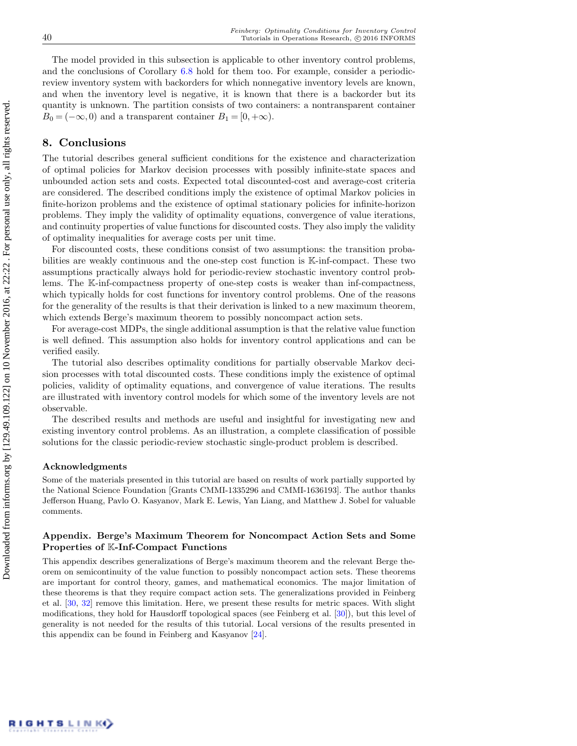The model provided in this subsection is applicable to other inventory control problems, and the conclusions of Corollary [6.8](#page-24-1) hold for them too. For example, consider a periodicreview inventory system with backorders for which nonnegative inventory levels are known, and when the inventory level is negative, it is known that there is a backorder but its quantity is unknown. The partition consists of two containers: a nontransparent container  $B_0 = (-\infty, 0)$  and a transparent container  $B_1 = [0, +\infty)$ .

# 8. Conclusions

The tutorial describes general sufficient conditions for the existence and characterization of optimal policies for Markov decision processes with possibly infinite-state spaces and unbounded action sets and costs. Expected total discounted-cost and average-cost criteria are considered. The described conditions imply the existence of optimal Markov policies in finite-horizon problems and the existence of optimal stationary policies for infinite-horizon problems. They imply the validity of optimality equations, convergence of value iterations, and continuity properties of value functions for discounted costs. They also imply the validity of optimality inequalities for average costs per unit time.

For discounted costs, these conditions consist of two assumptions: the transition probabilities are weakly continuous and the one-step cost function is K-inf-compact. These two assumptions practically always hold for periodic-review stochastic inventory control problems. The K-inf-compactness property of one-step costs is weaker than inf-compactness, which typically holds for cost functions for inventory control problems. One of the reasons for the generality of the results is that their derivation is linked to a new maximum theorem, which extends Berge's maximum theorem to possibly noncompact action sets.

For average-cost MDPs, the single additional assumption is that the relative value function is well defined. This assumption also holds for inventory control applications and can be verified easily.

The tutorial also describes optimality conditions for partially observable Markov decision processes with total discounted costs. These conditions imply the existence of optimal policies, validity of optimality equations, and convergence of value iterations. The results are illustrated with inventory control models for which some of the inventory levels are not observable.

The described results and methods are useful and insightful for investigating new and existing inventory control problems. As an illustration, a complete classification of possible solutions for the classic periodic-review stochastic single-product problem is described.

#### Acknowledgments

Some of the materials presented in this tutorial are based on results of work partially supported by the National Science Foundation [Grants CMMI-1335296 and CMMI-1636193]. The author thanks Jefferson Huang, Pavlo O. Kasyanov, Mark E. Lewis, Yan Liang, and Matthew J. Sobel for valuable comments.

## Appendix. Berge's Maximum Theorem for Noncompact Action Sets and Some Properties of K-Inf-Compact Functions

This appendix describes generalizations of Berge's maximum theorem and the relevant Berge theorem on semicontinuity of the value function to possibly noncompact action sets. These theorems are important for control theory, games, and mathematical economics. The major limitation of these theorems is that they require compact action sets. The generalizations provided in Feinberg et al. [\[30,](#page-30-21) [32\]](#page-30-22) remove this limitation. Here, we present these results for metric spaces. With slight modifications, they hold for Hausdorff topological spaces (see Feinberg et al. [\[30\]](#page-30-21)), but this level of generality is not needed for the results of this tutorial. Local versions of the results presented in this appendix can be found in Feinberg and Kasyanov [\[24\]](#page-30-23).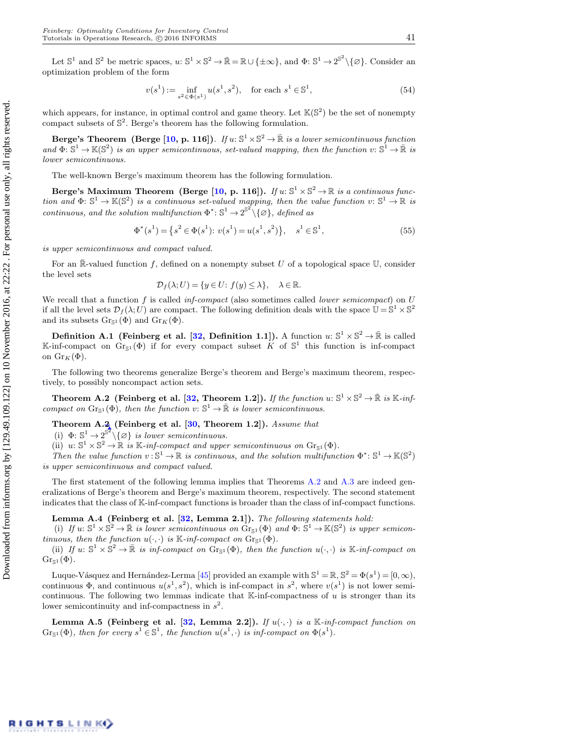Let  $\mathbb{S}^1$  and  $\mathbb{S}^2$  be metric spaces,  $u: \mathbb{S}^1 \times \mathbb{S}^2 \to \bar{\mathbb{R}} = \mathbb{R} \cup {\pm \infty}$ , and  $\Phi: \mathbb{S}^1 \to 2^{\mathbb{S}^2} \setminus {\emptyset}$ . Consider an optimization problem of the form

$$
v(s1) := \inf_{s2 \in \Phi(s1)} u(s1, s2), \quad \text{for each } s1 \in \mathbb{S}^1,
$$
 (54)

which appears, for instance, in optimal control and game theory. Let  $\mathbb{K}(\mathbb{S}^2)$  be the set of nonempty compact subsets of  $\mathbb{S}^2$ . Berge's theorem has the following formulation.

Berge's Theorem (Berge [\[10,](#page-29-17) p. 116]). If  $u: \mathbb{S}^1 \times \mathbb{S}^2 \to \mathbb{R}$  is a lower semicontinuous function and  $\Phi: \mathbb{S}^1 \to \mathbb{K}(\mathbb{S}^2)$  is an upper semicontinuous, set-valued mapping, then the function  $v: \mathbb{S}^1 \to \mathbb{R}$  is lower semicontinuous.

The well-known Berge's maximum theorem has the following formulation.

Berge's Maximum Theorem (Berge [\[10,](#page-29-17) p. 116]). If  $u: \mathbb{S}^1 \times \mathbb{S}^2 \to \mathbb{R}$  is a continuous function and  $\Phi: \mathbb{S}^1 \to \mathbb{K}(\mathbb{S}^2)$  is a continuous set-valued mapping, then the value function  $v: \mathbb{S}^1 \to \mathbb{R}$  is continuous, and the solution multifunction  $\Phi^* \colon \mathbb{S}^1 \to 2^{\mathbb{S}^2} \setminus \{\varnothing\}$ , defined as

$$
\Phi^*(s^1) = \left\{ s^2 \in \Phi(s^1); \ v(s^1) = u(s^1, s^2) \right\}, \quad s^1 \in \mathbb{S}^1,
$$
\n<sup>(55)</sup>

is upper semicontinuous and compact valued.

For an  $\mathbb{R}$ -valued function f, defined on a nonempty subset U of a topological space U, consider the level sets

$$
\mathcal{D}_f(\lambda; U) = \{ y \in U : f(y) \le \lambda \}, \quad \lambda \in \mathbb{R}.
$$

We recall that a function f is called inf-compact (also sometimes called lower semicompact) on  $U$ if all the level sets  $\mathcal{D}_f(\lambda; U)$  are compact. The following definition deals with the space  $\mathbb{U} = \mathbb{S}^1 \times \mathbb{S}^2$ and its subsets  $Gr_{\mathbb{S}^1}(\Phi)$  and  $Gr_K(\Phi)$ .

<span id="page-28-0"></span>**Definition A.1** (Feinberg et al. [\[32,](#page-30-22) Definition 1.1]). A function  $u: \mathbb{S}^1 \times \mathbb{S}^2 \to \mathbb{R}$  is called K-inf-compact on  $Gr_{\mathbb{S}^1}(\Phi)$  if for every compact subset K of  $\mathbb{S}^1$  this function is inf-compact on  $\text{Gr}_K(\Phi)$ .

The following two theorems generalize Berge's theorem and Berge's maximum theorem, respectively, to possibly noncompact action sets.

<span id="page-28-1"></span>Theorem A.2 (Feinberg et al. [\[32,](#page-30-22) Theorem 1.2]). If the function  $u: \mathbb{S}^1 \times \mathbb{S}^2 \to \mathbb{R}$  is K-infcompact on  $\text{Gr}_{\mathbb{S}^1}(\Phi)$ , then the function  $v: \mathbb{S}^1 \to \mathbb{R}$  is lower semicontinuous.

<span id="page-28-2"></span>Theorem A.2 (Feinberg et al.  $[30,$  Theorem 1.2]). Assume that

(i)  $\Phi: \mathbb{S}^1 \to 2^{\mathbb{S}^2} \setminus \{\varnothing\}$  is lower semicontinuous.

(ii)  $u: \mathbb{S}^1 \times \mathbb{S}^2 \to \mathbb{R}$  is K-inf-compact and upper semicontinuous on  $\text{Gr}_{\mathbb{S}^1}(\Phi)$ .

Then the value function  $v: \mathbb{S}^1 \to \mathbb{R}$  is continuous, and the solution multifunction  $\Phi^* \colon \mathbb{S}^1 \to \mathbb{K}(\mathbb{S}^2)$ is upper semicontinuous and compact valued.

The first statement of the following lemma implies that Theorems [A.2](#page-28-1) and [A.3](#page-28-2) are indeed generalizations of Berge's theorem and Berge's maximum theorem, respectively. The second statement indicates that the class of K-inf-compact functions is broader than the class of inf-compact functions.

#### Lemma A.4 (Feinberg et al.  $[32,$  Lemma 2.1]). The following statements hold:

(i) If  $u: \mathbb{S}^1 \times \mathbb{S}^2 \to \mathbb{R}$  is lower semicontinuous on  $\mathring{Gr}_{\mathbb{S}^1}(\Phi)$  and  $\Phi: \mathbb{S}^1 \to \mathbb{K}(\mathbb{S}^2)$  is upper semicontinuous, then the function  $u(\cdot, \cdot)$  is  $\mathbb{K}\text{-}inf\text{-}compact$  on  $\text{Gr}_{\mathbb{S}^1}(\Phi)$ .

(ii) If  $u: \mathbb{S}^1 \times \mathbb{S}^2 \to \mathbb{R}$  is inf-compact on  $\text{Gr}_{\mathbb{S}^1}(\Phi)$ , then the function  $u(\cdot, \cdot)$  is  $\mathbb{K}\text{-}inf\text{-}compact$  on  $\text{Gr}_{\mathbb{S}^1}(\Phi).$ 

Luque-Vásquez and Hernández-Lerma [\[45\]](#page-31-24) provided an example with  $\mathbb{S}^1 = \mathbb{R}, \mathbb{S}^2 = \Phi(s^1) = [0, \infty),$ continuous  $\Phi$ , and continuous  $u(s^1, s^2)$ , which is inf-compact in  $s^2$ , where  $v(s^1)$  is not lower semicontinuous. The following two lemmas indicate that  $\mathbb{K}\text{-}\mathrm{inf}$ -compactness of u is stronger than its lower semicontinuity and inf-compactness in  $s^2$ .

Lemma A.5 (Feinberg et al. [\[32,](#page-30-22) Lemma 2.2]). If  $u(\cdot, \cdot)$  is a K-inf-compact function on  $\text{Gr}_{\mathbb{S}^1}(\Phi)$ , then for every  $s^1 \in \mathbb{S}^1$ , the function  $u(s^1, \cdot)$  is inf-compact on  $\Phi(s^1)$ .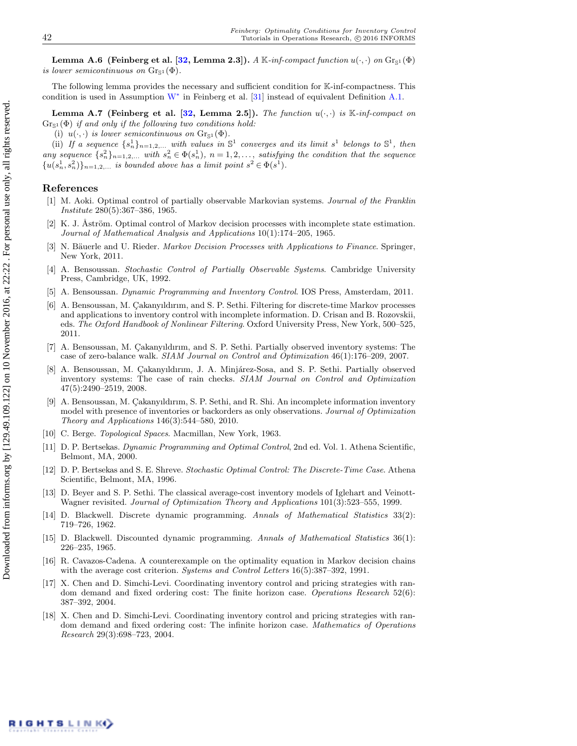Lemma A.6 (Feinberg et al. [\[32,](#page-30-22) Lemma 2.3]). A K-inf-compact function  $u(\cdot, \cdot)$  on  $\text{Gr}_{\mathbb{S}^1}(\Phi)$ is lower semicontinuous on  $\text{Gr}_{\mathbb{S}^1}(\Phi)$ .

The following lemma provides the necessary and sufficient condition for K-inf-compactness. This condition is used in Assumption  $W^*$  $W^*$  in Feinberg et al. [\[31\]](#page-30-7) instead of equivalent Definition [A.1.](#page-28-0)

Lemma A.7 (Feinberg et al. [\[32,](#page-30-22) Lemma 2.5]). The function  $u(\cdot, \cdot)$  is K-inf-compact on  $Gr<sub>S1</sub>(\Phi)$  if and only if the following two conditions hold:

(i)  $u(\cdot, \cdot)$  is lower semicontinuous on  $\text{Gr}_{\mathbb{S}^1}(\Phi)$ .

(ii) If a sequence  $\{s_n^1\}_{n=1,2,...}$  with values in  $\mathbb{S}^1$  converges and its limit  $s^1$  belongs to  $\mathbb{S}^1$ , then any sequence  $\{s_n^2\}_{n=1,2,...}$  with  $s_n^2 \in \Phi(s_n^1)$ ,  $n=1,2,...$ , satisfying the condition that the sequence  $\{u(s_n^1, s_n^2)\}_{n=1,2,\dots}$  is bounded above has a limit point  $s^2 \in \Phi(s^1)$ .

### References

- <span id="page-29-13"></span>[1] M. Aoki. Optimal control of partially observable Markovian systems. Journal of the Franklin Institute 280(5):367–386, 1965.
- <span id="page-29-14"></span>[2] K. J. Åström. Optimal control of Markov decision processes with incomplete state estimation. Journal of Mathematical Analysis and Applications 10(1):174–205, 1965.
- <span id="page-29-0"></span>[3] N. Bäuerle and U. Rieder. Markov Decision Processes with Applications to Finance. Springer, New York, 2011.
- <span id="page-29-16"></span>[4] A. Bensoussan. Stochastic Control of Partially Observable Systems. Cambridge University Press, Cambridge, UK, 1992.
- <span id="page-29-2"></span>[5] A. Bensoussan. Dynamic Programming and Inventory Control. IOS Press, Amsterdam, 2011.
- <span id="page-29-9"></span>[6] A. Bensoussan, M. Çakanyıldırım, and S. P. Sethi. Filtering for discrete-time Markov processes and applications to inventory control with incomplete information. D. Crisan and B. Rozovskii, eds. The Oxford Handbook of Nonlinear Filtering. Oxford University Press, New York, 500-525, 2011.
- <span id="page-29-10"></span>[7] A. Bensoussan, M. Cakanyıldırım, and S. P. Sethi. Partially observed inventory systems: The case of zero-balance walk. SIAM Journal on Control and Optimization 46(1):176–209, 2007.
- <span id="page-29-11"></span>[8] A. Bensoussan, M. Çakanyıldırım, J. A. Minjárez-Sosa, and S. P. Sethi. Partially observed inventory systems: The case of rain checks. SIAM Journal on Control and Optimization 47(5):2490–2519, 2008.
- <span id="page-29-12"></span>[9] A. Bensoussan, M. Çakanyıldırım, S. P. Sethi, and R. Shi. An incomplete information inventory model with presence of inventories or backorders as only observations. Journal of Optimization Theory and Applications 146(3):544–580, 2010.
- <span id="page-29-17"></span>[10] C. Berge. *Topological Spaces*. Macmillan, New York, 1963.
- <span id="page-29-15"></span>[11] D. P. Bertsekas. Dynamic Programming and Optimal Control, 2nd ed. Vol. 1. Athena Scientific, Belmont, MA, 2000.
- <span id="page-29-1"></span>[12] D. P. Bertsekas and S. E. Shreve. Stochastic Optimal Control: The Discrete-Time Case. Athena Scientific, Belmont, MA, 1996.
- <span id="page-29-3"></span>[13] D. Beyer and S. P. Sethi. The classical average-cost inventory models of Iglehart and Veinott-Wagner revisited. Journal of Optimization Theory and Applications 101(3):523–555, 1999.
- <span id="page-29-7"></span>[14] D. Blackwell. Discrete dynamic programming. Annals of Mathematical Statistics 33(2): 719–726, 1962.
- <span id="page-29-6"></span>[15] D. Blackwell. Discounted dynamic programming. Annals of Mathematical Statistics 36(1): 226–235, 1965.
- <span id="page-29-8"></span>[16] R. Cavazos-Cadena. A counterexample on the optimality equation in Markov decision chains with the average cost criterion. Systems and Control Letters 16(5):387–392, 1991.
- <span id="page-29-4"></span>[17] X. Chen and D. Simchi-Levi. Coordinating inventory control and pricing strategies with random demand and fixed ordering cost: The finite horizon case. Operations Research 52(6): 387–392, 2004.
- <span id="page-29-5"></span>[18] X. Chen and D. Simchi-Levi. Coordinating inventory control and pricing strategies with random demand and fixed ordering cost: The infinite horizon case. Mathematics of Operations Research 29(3):698–723, 2004.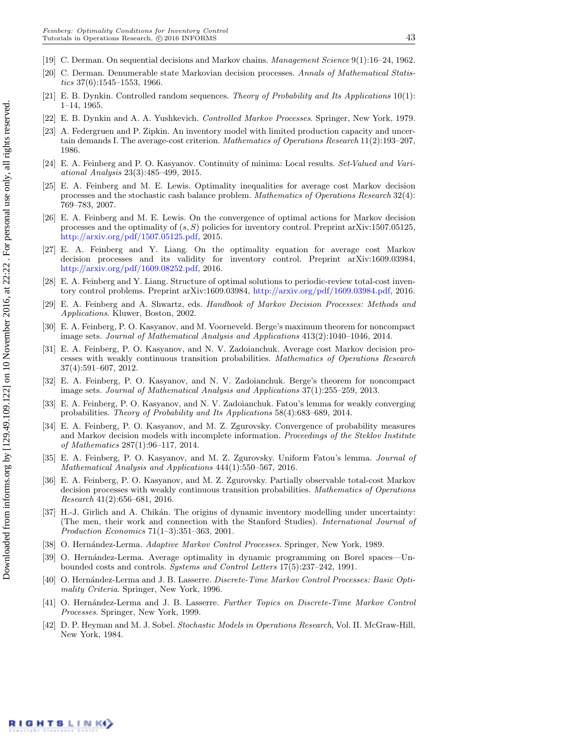- <span id="page-30-13"></span>[19] C. Derman. On sequential decisions and Markov chains. Management Science 9(1):16–24, 1962.
- <span id="page-30-14"></span>[20] C. Derman. Denumerable state Markovian decision processes. Annals of Mathematical Statistics  $37(6)$ :1545–1553, 1966.
- <span id="page-30-16"></span>[21] E. B. Dynkin. Controlled random sequences. Theory of Probability and Its Applications 10(1): 1–14, 1965.
- <span id="page-30-1"></span>[22] E. B. Dynkin and A. A. Yushkevich. Controlled Markov Processes. Springer, New York, 1979.
- <span id="page-30-12"></span>[23] A. Federgruen and P. Zipkin. An inventory model with limited production capacity and uncertain demands I. The average-cost criterion. Mathematics of Operations Research 11(2):193-207, 1986.
- <span id="page-30-23"></span>[24] E. A. Feinberg and P. O. Kasyanov. Continuity of minima: Local results. Set-Valued and Variational Analysis 23(3):485–499, 2015.
- <span id="page-30-11"></span>[25] E. A. Feinberg and M. E. Lewis. Optimality inequalities for average cost Markov decision processes and the stochastic cash balance problem. Mathematics of Operations Research 32(4): 769–783, 2007.
- <span id="page-30-8"></span>[26] E. A. Feinberg and M. E. Lewis. On the convergence of optimal actions for Markov decision processes and the optimality of  $(s, S)$  policies for inventory control. Preprint arXiv:1507.05125, [http://arxiv.org/pdf/1507.05125.pdf,](http://arxiv.org/pdf/1507.05125.pdf) 2015.
- <span id="page-30-10"></span>[27] E. A. Feinberg and Y. Liang. On the optimality equation for average cost Markov decision processes and its validity for inventory control. Preprint arXiv:1609.03984, [http://arxiv.org/pdf/1609.08252.pdf,](http://arxiv.org/pdf/1609.08252.pdf) 2016.
- <span id="page-30-9"></span>[28] E. A. Feinberg and Y. Liang. Structure of optimal solutions to periodic-review total-cost inventory control problems. Preprint arXiv:1609.03984, [http://arxiv.org/pdf/1609.03984.pdf,](http://arxiv.org/pdf/1609.03984.pdf) 2016.
- <span id="page-30-2"></span>[29] E. A. Feinberg and A. Shwartz, eds. Handbook of Markov Decision Processes: Methods and Applications. Kluwer, Boston, 2002.
- <span id="page-30-21"></span>[30] E. A. Feinberg, P. O. Kasyanov, and M. Voorneveld. Berge's maximum theorem for noncompact image sets. Journal of Mathematical Analysis and Applications 413(2):1040–1046, 2014.
- <span id="page-30-7"></span>[31] E. A. Feinberg, P. O. Kasyanov, and N. V. Zadoianchuk. Average cost Markov decision processes with weakly continuous transition probabilities. Mathematics of Operations Research 37(4):591–607, 2012.
- <span id="page-30-22"></span>[32] E. A. Feinberg, P. O. Kasyanov, and N. V. Zadoianchuk. Berge's theorem for noncompact image sets. Journal of Mathematical Analysis and Applications 37(1):255–259, 2013.
- <span id="page-30-18"></span>[33] E. A. Feinberg, P. O. Kasyanov, and N. V. Zadoianchuk. Fatou's lemma for weakly converging probabilities. Theory of Probability and Its Applications 58(4):683–689, 2014.
- <span id="page-30-20"></span>[34] E. A. Feinberg, P. O. Kasyanov, and M. Z. Zgurovsky. Convergence of probability measures and Markov decision models with incomplete information. Proceedings of the Steklov Institute of Mathematics 287(1):96–117, 2014.
- <span id="page-30-19"></span>[35] E. A. Feinberg, P. O. Kasyanov, and M. Z. Zgurovsky. Uniform Fatou's lemma. Journal of Mathematical Analysis and Applications 444(1):550–567, 2016.
- <span id="page-30-17"></span>[36] E. A. Feinberg, P. O. Kasyanov, and M. Z. Zgurovsky. Partially observable total-cost Markov decision processes with weakly continuous transition probabilities. Mathematics of Operations Research 41(2):656–681, 2016.
- <span id="page-30-0"></span>[37] H.-J. Girlich and A. Chikán. The origins of dynamic inventory modelling under uncertainty: (The men, their work and connection with the Stanford Studies). International Journal of Production Economics 71(1–3):351–363, 2001.
- <span id="page-30-4"></span>[38] O. Hernández-Lerma. Adaptive Markov Control Processes. Springer, New York, 1989.
- <span id="page-30-15"></span>[39] O. Hernández-Lerma. Average optimality in dynamic programming on Borel spaces—Unbounded costs and controls. Systems and Control Letters 17(5):237–242, 1991.
- <span id="page-30-5"></span>[40] O. Hernández-Lerma and J. B. Lasserre. Discrete-Time Markov Control Processes: Basic Optimality Criteria. Springer, New York, 1996.
- <span id="page-30-6"></span>[41] O. Hernández-Lerma and J. B. Lasserre. Further Topics on Discrete-Time Markov Control Processes. Springer, New York, 1999.
- <span id="page-30-3"></span>[42] D. P. Heyman and M. J. Sobel. Stochastic Models in Operations Research, Vol. II. McGraw-Hill, New York, 1984.